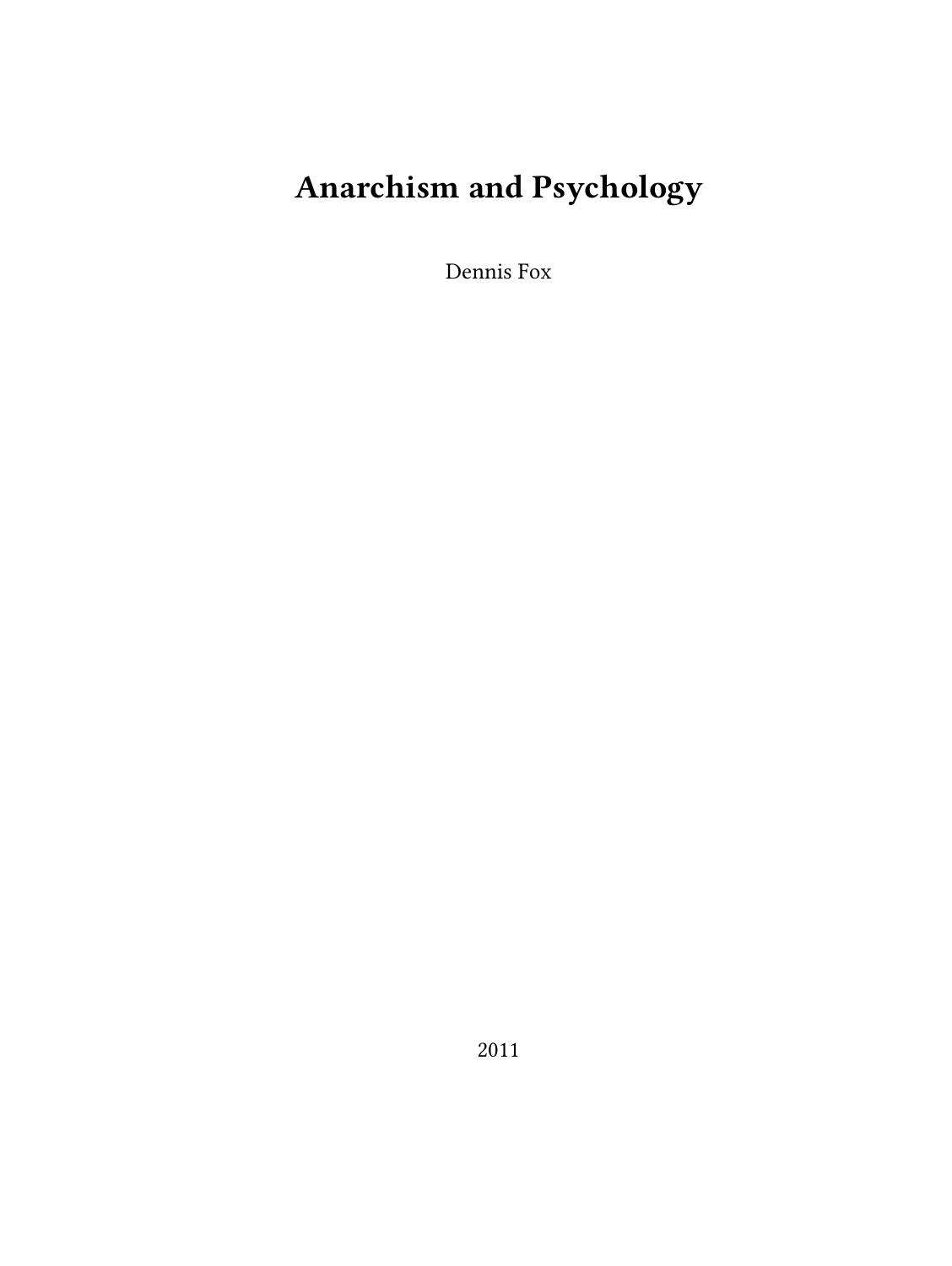# **Anarchism and Psychology**

Dennis Fox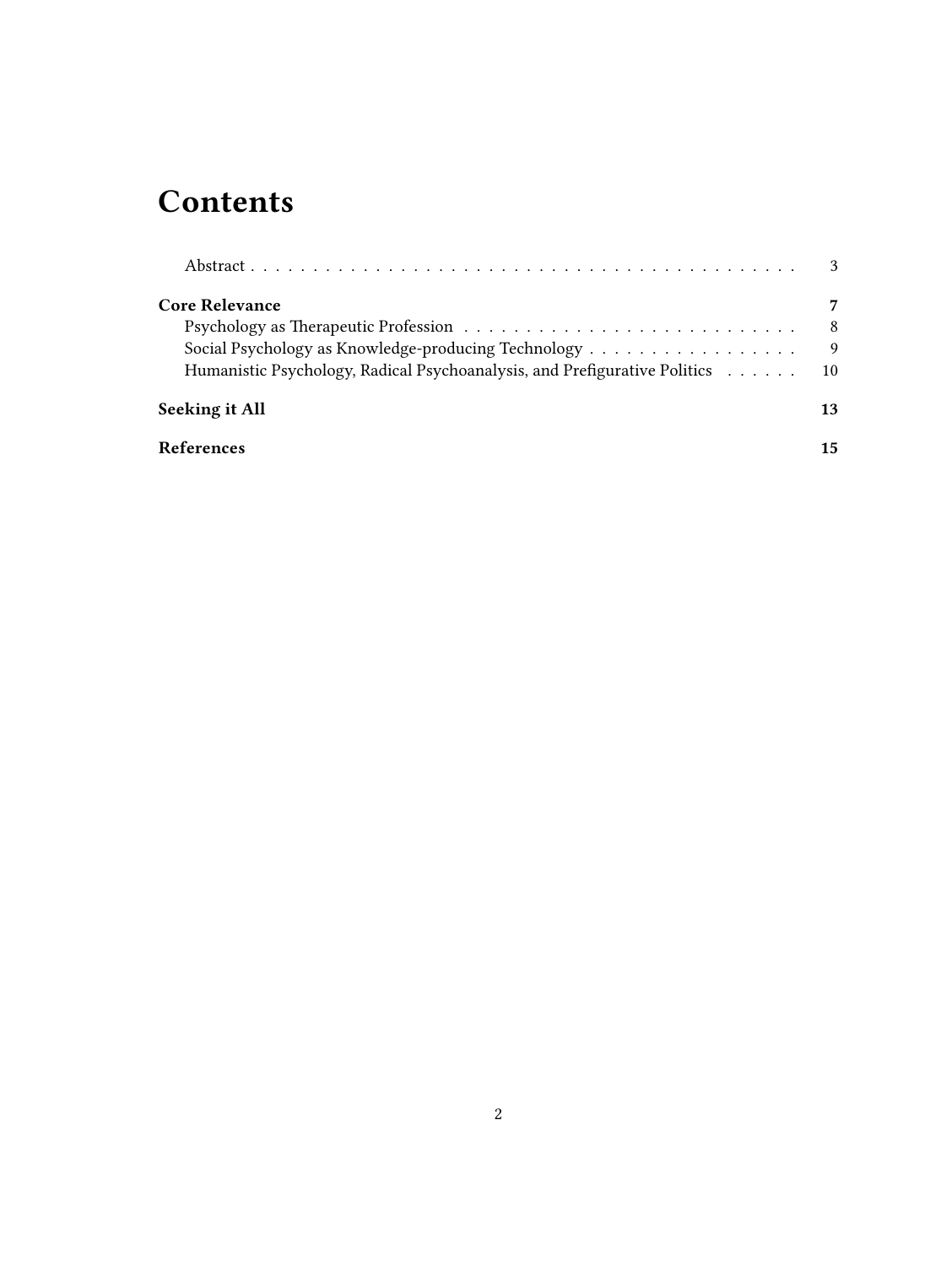## **Contents**

|                                                                           | $\mathcal{E}$ |
|---------------------------------------------------------------------------|---------------|
| <b>Core Relevance</b>                                                     |               |
|                                                                           | -8            |
|                                                                           | -9            |
| Humanistic Psychology, Radical Psychoanalysis, and Prefigurative Politics | 10            |
| Seeking it All                                                            | 13            |
| <b>References</b>                                                         | 15            |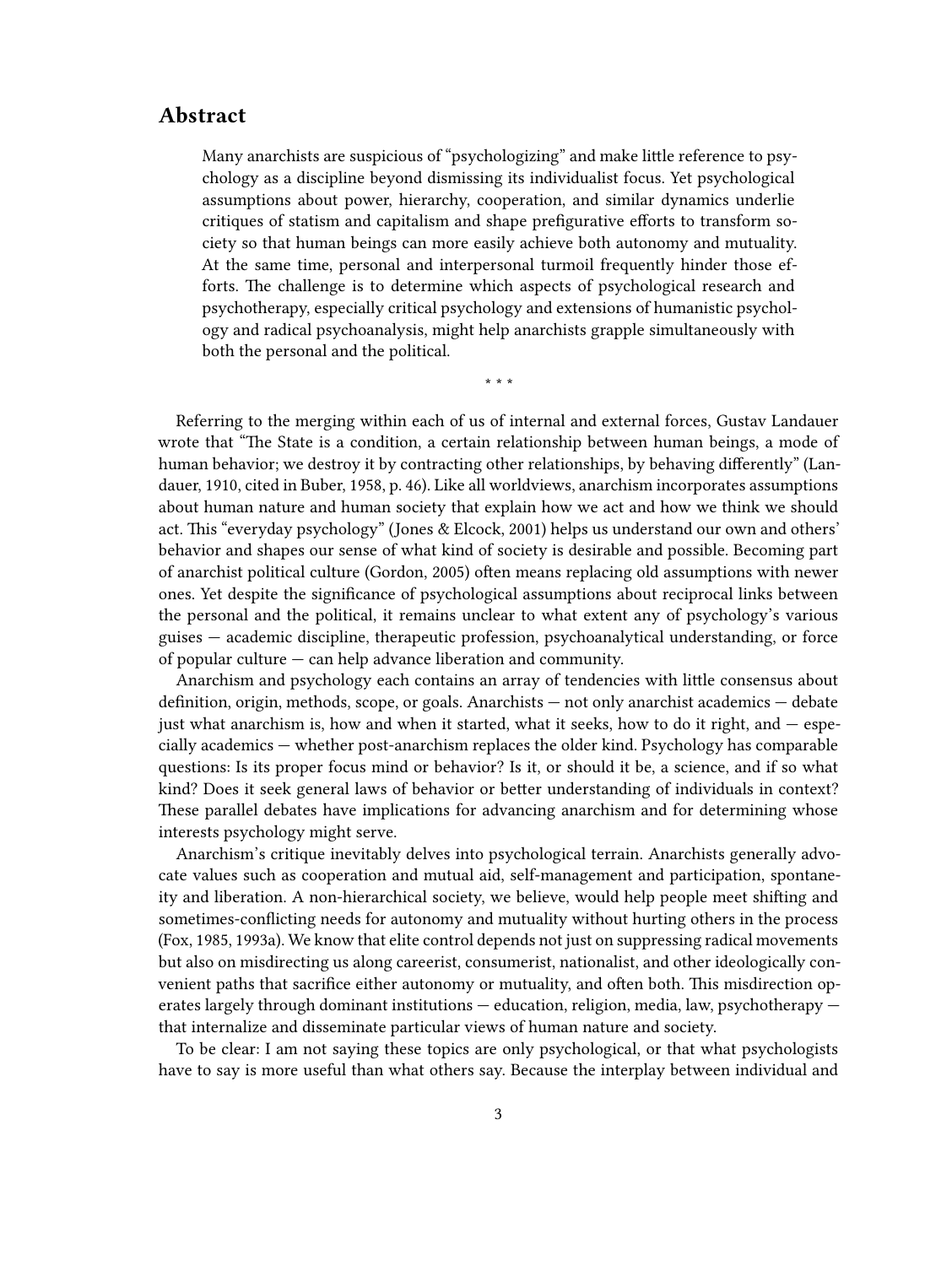#### <span id="page-2-0"></span>**Abstract**

Many anarchists are suspicious of "psychologizing" and make little reference to psychology as a discipline beyond dismissing its individualist focus. Yet psychological assumptions about power, hierarchy, cooperation, and similar dynamics underlie critiques of statism and capitalism and shape prefigurative efforts to transform society so that human beings can more easily achieve both autonomy and mutuality. At the same time, personal and interpersonal turmoil frequently hinder those efforts. The challenge is to determine which aspects of psychological research and psychotherapy, especially critical psychology and extensions of humanistic psychology and radical psychoanalysis, might help anarchists grapple simultaneously with both the personal and the political.

\* \* \*

Referring to the merging within each of us of internal and external forces, Gustav Landauer wrote that "The State is a condition, a certain relationship between human beings, a mode of human behavior; we destroy it by contracting other relationships, by behaving differently" (Landauer, 1910, cited in Buber, 1958, p. 46). Like all worldviews, anarchism incorporates assumptions about human nature and human society that explain how we act and how we think we should act. This "everyday psychology" (Jones & Elcock, 2001) helps us understand our own and others' behavior and shapes our sense of what kind of society is desirable and possible. Becoming part of anarchist political culture (Gordon, 2005) often means replacing old assumptions with newer ones. Yet despite the significance of psychological assumptions about reciprocal links between the personal and the political, it remains unclear to what extent any of psychology's various guises — academic discipline, therapeutic profession, psychoanalytical understanding, or force of popular culture — can help advance liberation and community.

Anarchism and psychology each contains an array of tendencies with little consensus about definition, origin, methods, scope, or goals. Anarchists — not only anarchist academics — debate just what anarchism is, how and when it started, what it seeks, how to do it right, and — especially academics — whether post-anarchism replaces the older kind. Psychology has comparable questions: Is its proper focus mind or behavior? Is it, or should it be, a science, and if so what kind? Does it seek general laws of behavior or better understanding of individuals in context? These parallel debates have implications for advancing anarchism and for determining whose interests psychology might serve.

Anarchism's critique inevitably delves into psychological terrain. Anarchists generally advocate values such as cooperation and mutual aid, self-management and participation, spontaneity and liberation. A non-hierarchical society, we believe, would help people meet shifting and sometimes-conflicting needs for autonomy and mutuality without hurting others in the process (Fox, 1985, 1993a). We know that elite control depends not just on suppressing radical movements but also on misdirecting us along careerist, consumerist, nationalist, and other ideologically convenient paths that sacrifice either autonomy or mutuality, and often both. This misdirection operates largely through dominant institutions — education, religion, media, law, psychotherapy that internalize and disseminate particular views of human nature and society.

To be clear: I am not saying these topics are only psychological, or that what psychologists have to say is more useful than what others say. Because the interplay between individual and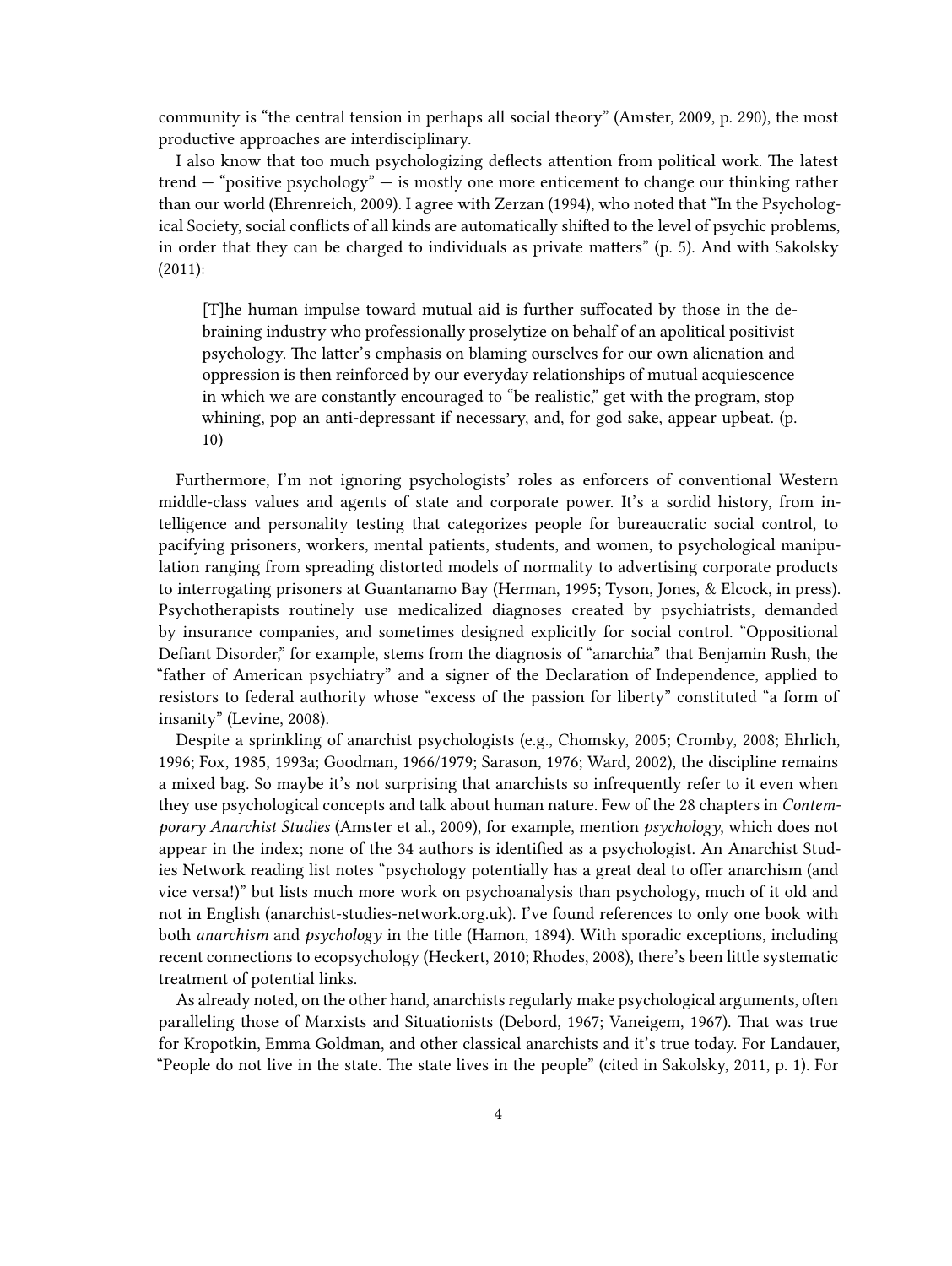community is "the central tension in perhaps all social theory" (Amster, 2009, p. 290), the most productive approaches are interdisciplinary.

I also know that too much psychologizing deflects attention from political work. The latest trend — "positive psychology" — is mostly one more enticement to change our thinking rather than our world (Ehrenreich, 2009). I agree with Zerzan (1994), who noted that "In the Psychological Society, social conflicts of all kinds are automatically shifted to the level of psychic problems, in order that they can be charged to individuals as private matters" (p. 5). And with Sakolsky (2011):

[T]he human impulse toward mutual aid is further suffocated by those in the debraining industry who professionally proselytize on behalf of an apolitical positivist psychology. The latter's emphasis on blaming ourselves for our own alienation and oppression is then reinforced by our everyday relationships of mutual acquiescence in which we are constantly encouraged to "be realistic," get with the program, stop whining, pop an anti-depressant if necessary, and, for god sake, appear upbeat. (p. 10)

Furthermore, I'm not ignoring psychologists' roles as enforcers of conventional Western middle-class values and agents of state and corporate power. It's a sordid history, from intelligence and personality testing that categorizes people for bureaucratic social control, to pacifying prisoners, workers, mental patients, students, and women, to psychological manipulation ranging from spreading distorted models of normality to advertising corporate products to interrogating prisoners at Guantanamo Bay (Herman, 1995; Tyson, Jones, & Elcock, in press). Psychotherapists routinely use medicalized diagnoses created by psychiatrists, demanded by insurance companies, and sometimes designed explicitly for social control. "Oppositional Defiant Disorder," for example, stems from the diagnosis of "anarchia" that Benjamin Rush, the "father of American psychiatry" and a signer of the Declaration of Independence, applied to resistors to federal authority whose "excess of the passion for liberty" constituted "a form of insanity" (Levine, 2008).

Despite a sprinkling of anarchist psychologists (e.g., Chomsky, 2005; Cromby, 2008; Ehrlich, 1996; Fox, 1985, 1993a; Goodman, 1966/1979; Sarason, 1976; Ward, 2002), the discipline remains a mixed bag. So maybe it's not surprising that anarchists so infrequently refer to it even when they use psychological concepts and talk about human nature. Few of the 28 chapters in *Contemporary Anarchist Studies* (Amster et al., 2009), for example, mention *psychology*, which does not appear in the index; none of the 34 authors is identified as a psychologist. An Anarchist Studies Network reading list notes "psychology potentially has a great deal to offer anarchism (and vice versa!)" but lists much more work on psychoanalysis than psychology, much of it old and not in English [\(anarchist-studies-network.org.uk](http://anarchist-studies-network.org.uk/ReadingLists_Psychology)). I've found references to only one book with both *anarchism* and *psychology* in the title (Hamon, 1894). With sporadic exceptions, including recent connections to ecopsychology (Heckert, 2010; Rhodes, 2008), there's been little systematic treatment of potential links.

As already noted, on the other hand, anarchists regularly make psychological arguments, often paralleling those of Marxists and Situationists (Debord, 1967; Vaneigem, 1967). That was true for Kropotkin, Emma Goldman, and other classical anarchists and it's true today. For Landauer, "People do not live in the state. The state lives in the people" (cited in Sakolsky, 2011, p. 1). For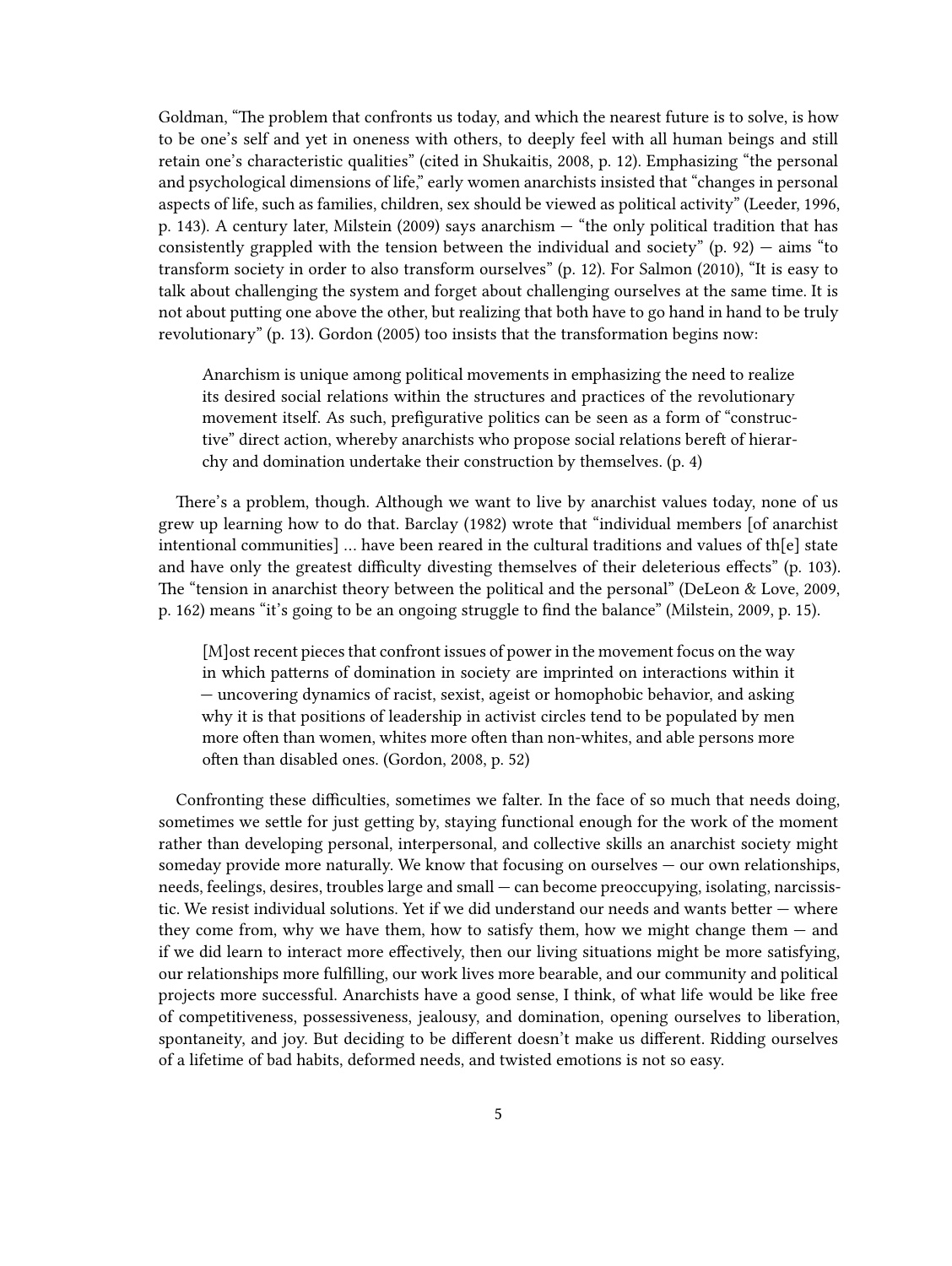Goldman, "The problem that confronts us today, and which the nearest future is to solve, is how to be one's self and yet in oneness with others, to deeply feel with all human beings and still retain one's characteristic qualities" (cited in Shukaitis, 2008, p. 12). Emphasizing "the personal and psychological dimensions of life," early women anarchists insisted that "changes in personal aspects of life, such as families, children, sex should be viewed as political activity" (Leeder, 1996, p. 143). A century later, Milstein (2009) says anarchism — "the only political tradition that has consistently grappled with the tension between the individual and society"  $(p. 92)$  - aims "to transform society in order to also transform ourselves" (p. 12). For Salmon (2010), "It is easy to talk about challenging the system and forget about challenging ourselves at the same time. It is not about putting one above the other, but realizing that both have to go hand in hand to be truly revolutionary" (p. 13). Gordon (2005) too insists that the transformation begins now:

Anarchism is unique among political movements in emphasizing the need to realize its desired social relations within the structures and practices of the revolutionary movement itself. As such, prefigurative politics can be seen as a form of "constructive" direct action, whereby anarchists who propose social relations bereft of hierarchy and domination undertake their construction by themselves. (p. 4)

There's a problem, though. Although we want to live by anarchist values today, none of us grew up learning how to do that. Barclay (1982) wrote that "individual members [of anarchist intentional communities] … have been reared in the cultural traditions and values of th[e] state and have only the greatest difficulty divesting themselves of their deleterious effects" (p. 103). The "tension in anarchist theory between the political and the personal" (DeLeon & Love, 2009, p. 162) means "it's going to be an ongoing struggle to find the balance" (Milstein, 2009, p. 15).

[M]ost recent pieces that confront issues of power in the movement focus on the way in which patterns of domination in society are imprinted on interactions within it — uncovering dynamics of racist, sexist, ageist or homophobic behavior, and asking why it is that positions of leadership in activist circles tend to be populated by men more often than women, whites more often than non-whites, and able persons more often than disabled ones. (Gordon, 2008, p. 52)

Confronting these difficulties, sometimes we falter. In the face of so much that needs doing, sometimes we settle for just getting by, staying functional enough for the work of the moment rather than developing personal, interpersonal, and collective skills an anarchist society might someday provide more naturally. We know that focusing on ourselves — our own relationships, needs, feelings, desires, troubles large and small — can become preoccupying, isolating, narcissistic. We resist individual solutions. Yet if we did understand our needs and wants better — where they come from, why we have them, how to satisfy them, how we might change them  $-$  and if we did learn to interact more effectively, then our living situations might be more satisfying, our relationships more fulfilling, our work lives more bearable, and our community and political projects more successful. Anarchists have a good sense, I think, of what life would be like free of competitiveness, possessiveness, jealousy, and domination, opening ourselves to liberation, spontaneity, and joy. But deciding to be different doesn't make us different. Ridding ourselves of a lifetime of bad habits, deformed needs, and twisted emotions is not so easy.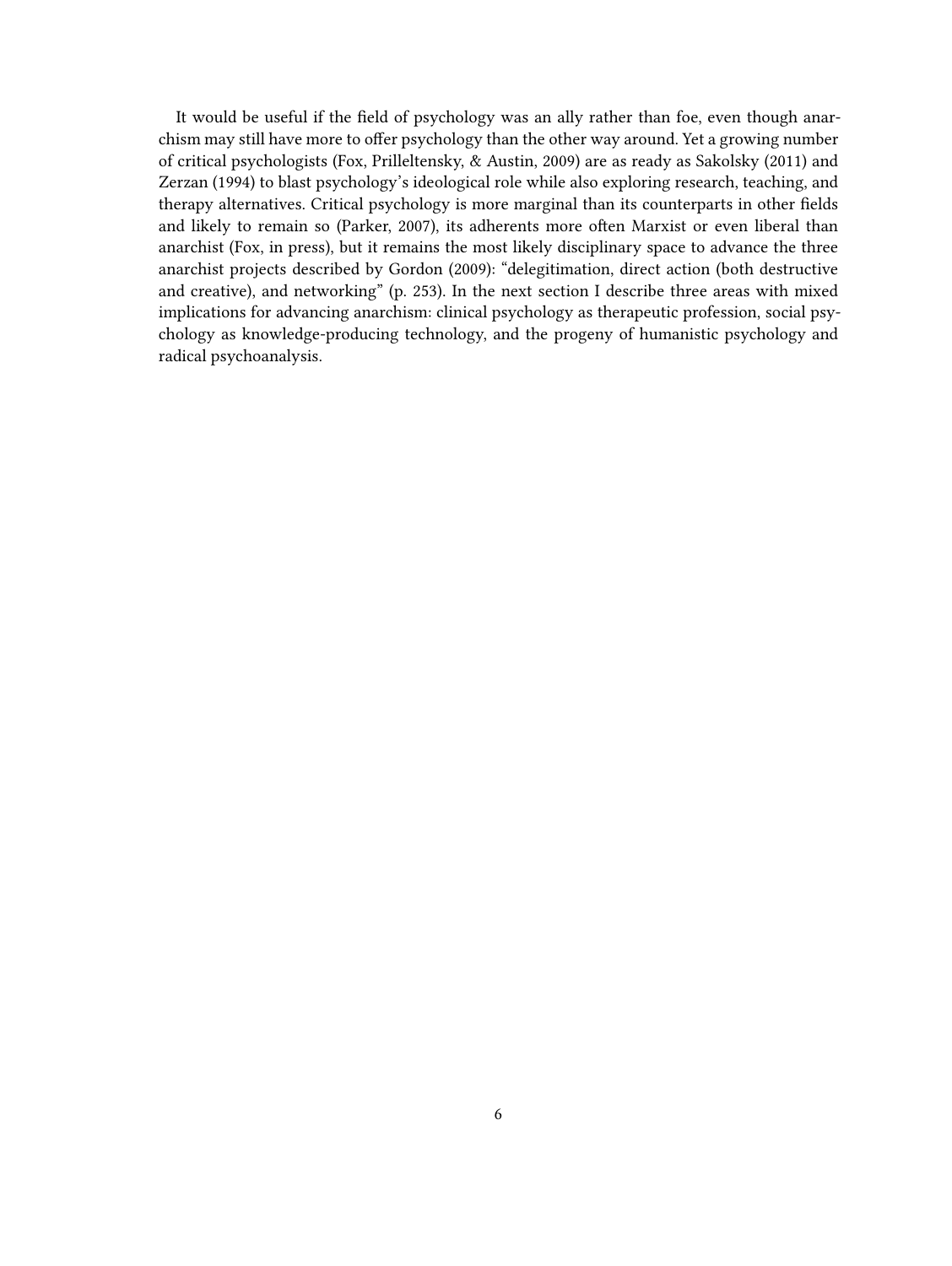It would be useful if the field of psychology was an ally rather than foe, even though anarchism may still have more to offer psychology than the other way around. Yet a growing number of critical psychologists (Fox, Prilleltensky, & Austin, 2009) are as ready as Sakolsky (2011) and Zerzan (1994) to blast psychology's ideological role while also exploring research, teaching, and therapy alternatives. Critical psychology is more marginal than its counterparts in other fields and likely to remain so (Parker, 2007), its adherents more often Marxist or even liberal than anarchist (Fox, in press), but it remains the most likely disciplinary space to advance the three anarchist projects described by Gordon (2009): "delegitimation, direct action (both destructive and creative), and networking" (p. 253). In the next section I describe three areas with mixed implications for advancing anarchism: clinical psychology as therapeutic profession, social psychology as knowledge-producing technology, and the progeny of humanistic psychology and radical psychoanalysis.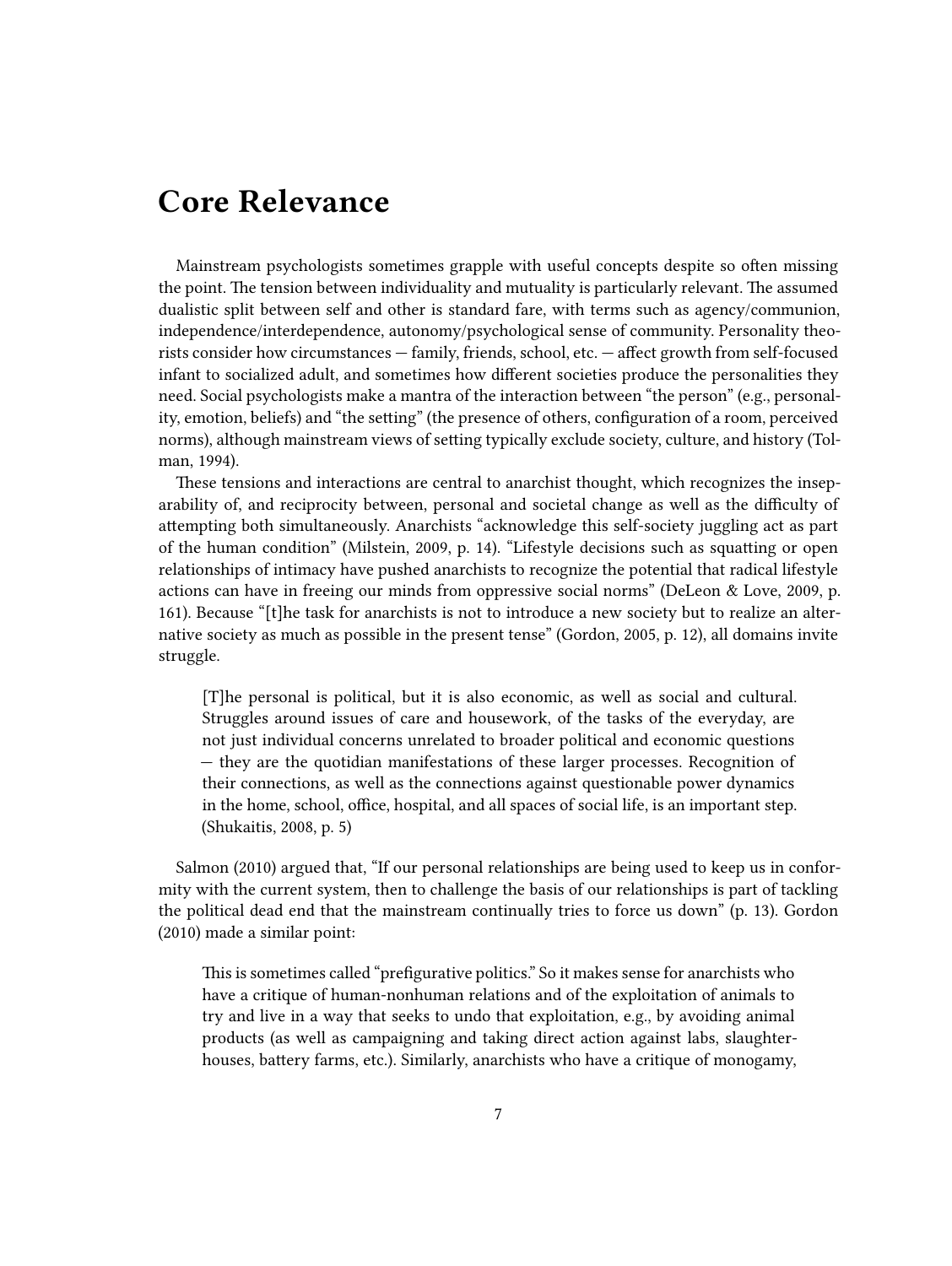### <span id="page-6-0"></span>**Core Relevance**

Mainstream psychologists sometimes grapple with useful concepts despite so often missing the point. The tension between individuality and mutuality is particularly relevant. The assumed dualistic split between self and other is standard fare, with terms such as agency/communion, independence/interdependence, autonomy/psychological sense of community. Personality theorists consider how circumstances — family, friends, school, etc. — affect growth from self-focused infant to socialized adult, and sometimes how different societies produce the personalities they need. Social psychologists make a mantra of the interaction between "the person" (e.g., personality, emotion, beliefs) and "the setting" (the presence of others, configuration of a room, perceived norms), although mainstream views of setting typically exclude society, culture, and history (Tolman, 1994).

These tensions and interactions are central to anarchist thought, which recognizes the inseparability of, and reciprocity between, personal and societal change as well as the difficulty of attempting both simultaneously. Anarchists "acknowledge this self-society juggling act as part of the human condition" (Milstein, 2009, p. 14). "Lifestyle decisions such as squatting or open relationships of intimacy have pushed anarchists to recognize the potential that radical lifestyle actions can have in freeing our minds from oppressive social norms" (DeLeon & Love, 2009, p. 161). Because "[t]he task for anarchists is not to introduce a new society but to realize an alternative society as much as possible in the present tense" (Gordon, 2005, p. 12), all domains invite struggle.

[T]he personal is political, but it is also economic, as well as social and cultural. Struggles around issues of care and housework, of the tasks of the everyday, are not just individual concerns unrelated to broader political and economic questions — they are the quotidian manifestations of these larger processes. Recognition of their connections, as well as the connections against questionable power dynamics in the home, school, office, hospital, and all spaces of social life, is an important step. (Shukaitis, 2008, p. 5)

Salmon (2010) argued that, "If our personal relationships are being used to keep us in conformity with the current system, then to challenge the basis of our relationships is part of tackling the political dead end that the mainstream continually tries to force us down" (p. 13). Gordon (2010) made a similar point:

This is sometimes called "prefigurative politics." So it makes sense for anarchists who have a critique of human-nonhuman relations and of the exploitation of animals to try and live in a way that seeks to undo that exploitation, e.g., by avoiding animal products (as well as campaigning and taking direct action against labs, slaughterhouses, battery farms, etc.). Similarly, anarchists who have a critique of monogamy,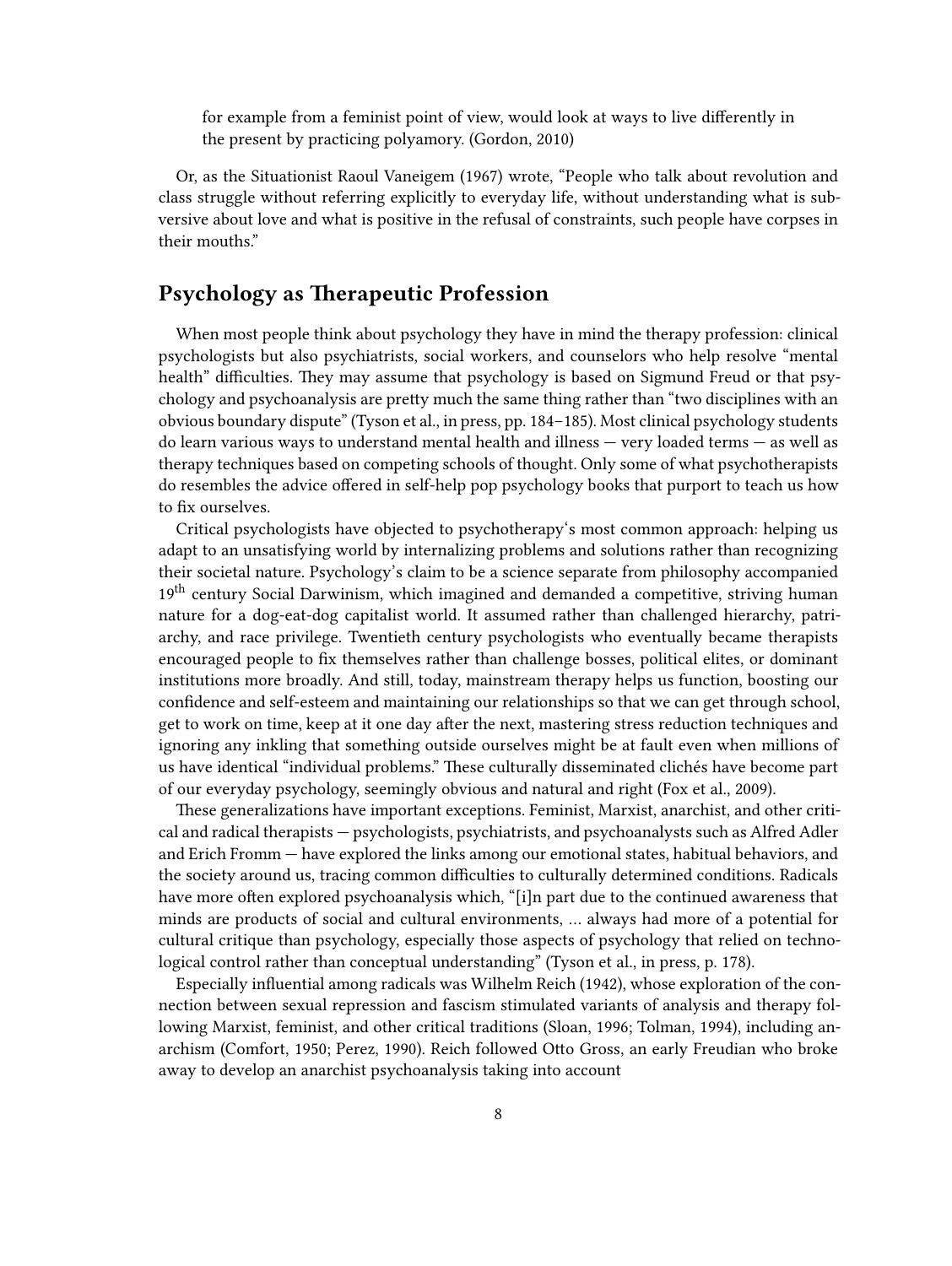for example from a feminist point of view, would look at ways to live differently in the present by practicing polyamory. (Gordon, 2010)

Or, as the Situationist Raoul Vaneigem (1967) wrote, "People who talk about revolution and class struggle without referring explicitly to everyday life, without understanding what is subversive about love and what is positive in the refusal of constraints, such people have corpses in their mouths."

#### <span id="page-7-0"></span>**Psychology as Therapeutic Profession**

When most people think about psychology they have in mind the therapy profession: clinical psychologists but also psychiatrists, social workers, and counselors who help resolve "mental health" difficulties. They may assume that psychology is based on Sigmund Freud or that psychology and psychoanalysis are pretty much the same thing rather than "two disciplines with an obvious boundary dispute" (Tyson et al., in press, pp. 184–185). Most clinical psychology students do learn various ways to understand mental health and illness — very loaded terms — as well as therapy techniques based on competing schools of thought. Only some of what psychotherapists do resembles the advice offered in self-help pop psychology books that purport to teach us how to fix ourselves.

Critical psychologists have objected to psychotherapy's most common approach: helping us adapt to an unsatisfying world by internalizing problems and solutions rather than recognizing their societal nature. Psychology's claim to be a science separate from philosophy accompanied 19<sup>th</sup> century Social Darwinism, which imagined and demanded a competitive, striving human nature for a dog-eat-dog capitalist world. It assumed rather than challenged hierarchy, patriarchy, and race privilege. Twentieth century psychologists who eventually became therapists encouraged people to fix themselves rather than challenge bosses, political elites, or dominant institutions more broadly. And still, today, mainstream therapy helps us function, boosting our confidence and self-esteem and maintaining our relationships so that we can get through school, get to work on time, keep at it one day after the next, mastering stress reduction techniques and ignoring any inkling that something outside ourselves might be at fault even when millions of us have identical "individual problems." These culturally disseminated clichés have become part of our everyday psychology, seemingly obvious and natural and right (Fox et al., 2009).

These generalizations have important exceptions. Feminist, Marxist, anarchist, and other critical and radical therapists — psychologists, psychiatrists, and psychoanalysts such as Alfred Adler and Erich Fromm — have explored the links among our emotional states, habitual behaviors, and the society around us, tracing common difficulties to culturally determined conditions. Radicals have more often explored psychoanalysis which, "[i]n part due to the continued awareness that minds are products of social and cultural environments, … always had more of a potential for cultural critique than psychology, especially those aspects of psychology that relied on technological control rather than conceptual understanding" (Tyson et al., in press, p. 178).

Especially influential among radicals was Wilhelm Reich (1942), whose exploration of the connection between sexual repression and fascism stimulated variants of analysis and therapy following Marxist, feminist, and other critical traditions (Sloan, 1996; Tolman, 1994), including anarchism (Comfort, 1950; Perez, 1990). Reich followed Otto Gross, an early Freudian who broke away to develop an anarchist psychoanalysis taking into account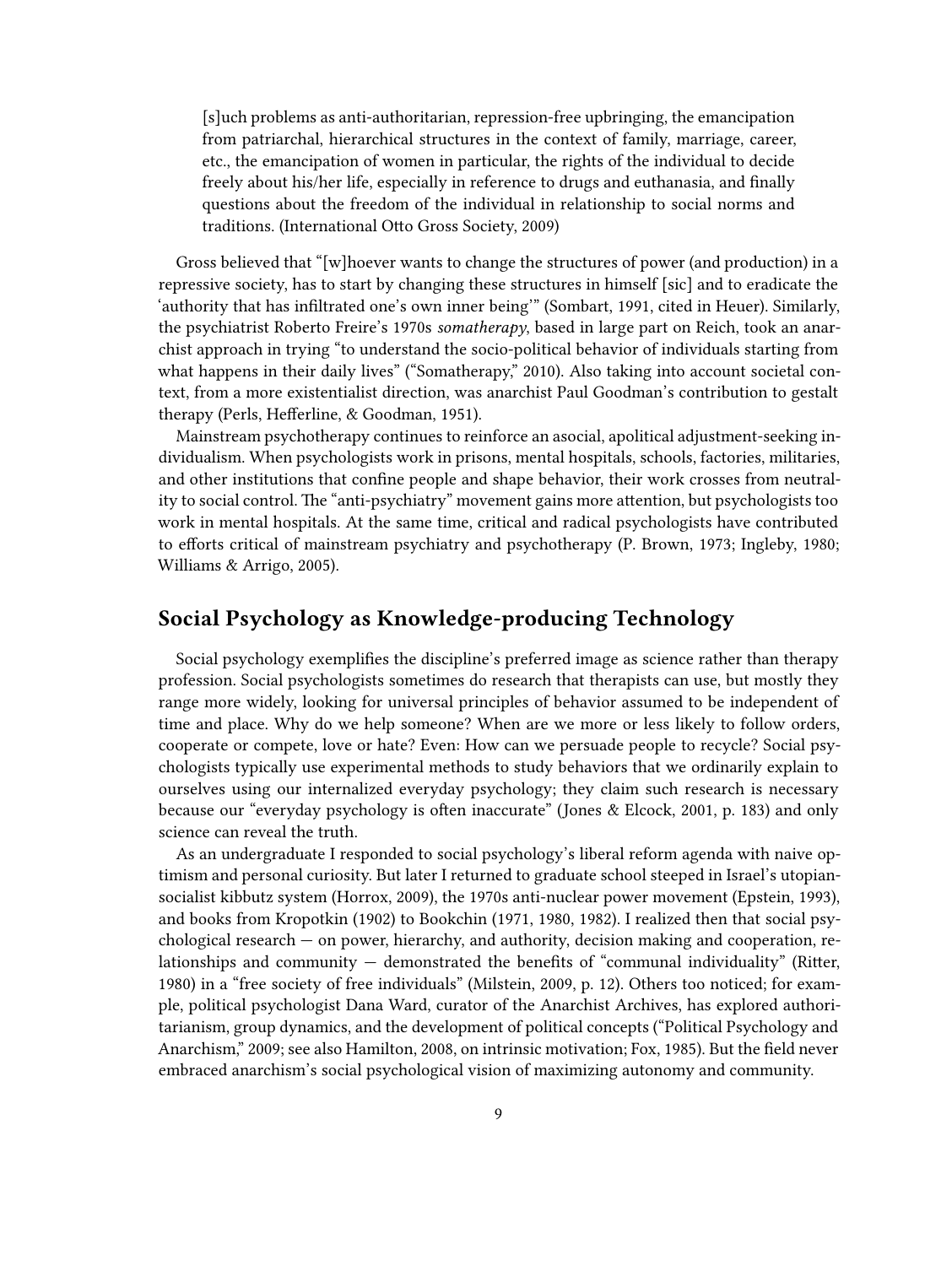[s]uch problems as anti-authoritarian, repression-free upbringing, the emancipation from patriarchal, hierarchical structures in the context of family, marriage, career, etc., the emancipation of women in particular, the rights of the individual to decide freely about his/her life, especially in reference to drugs and euthanasia, and finally questions about the freedom of the individual in relationship to social norms and traditions. (International Otto Gross Society, 2009)

Gross believed that "[w]hoever wants to change the structures of power (and production) in a repressive society, has to start by changing these structures in himself [sic] and to eradicate the 'authority that has infiltrated one's own inner being'" (Sombart, 1991, cited in Heuer). Similarly, the psychiatrist Roberto Freire's 1970s *somatherapy*, based in large part on Reich, took an anarchist approach in trying "to understand the socio-political behavior of individuals starting from what happens in their daily lives" ("Somatherapy," 2010). Also taking into account societal context, from a more existentialist direction, was anarchist Paul Goodman's contribution to gestalt therapy (Perls, Hefferline, & Goodman, 1951).

Mainstream psychotherapy continues to reinforce an asocial, apolitical adjustment-seeking individualism. When psychologists work in prisons, mental hospitals, schools, factories, militaries, and other institutions that confine people and shape behavior, their work crosses from neutrality to social control. The "anti-psychiatry" movement gains more attention, but psychologists too work in mental hospitals. At the same time, critical and radical psychologists have contributed to efforts critical of mainstream psychiatry and psychotherapy (P. Brown, 1973; Ingleby, 1980; Williams & Arrigo, 2005).

#### <span id="page-8-0"></span>**Social Psychology as Knowledge-producing Technology**

Social psychology exemplifies the discipline's preferred image as science rather than therapy profession. Social psychologists sometimes do research that therapists can use, but mostly they range more widely, looking for universal principles of behavior assumed to be independent of time and place. Why do we help someone? When are we more or less likely to follow orders, cooperate or compete, love or hate? Even: How can we persuade people to recycle? Social psychologists typically use experimental methods to study behaviors that we ordinarily explain to ourselves using our internalized everyday psychology; they claim such research is necessary because our "everyday psychology is often inaccurate" (Jones & Elcock, 2001, p. 183) and only science can reveal the truth.

As an undergraduate I responded to social psychology's liberal reform agenda with naive optimism and personal curiosity. But later I returned to graduate school steeped in Israel's utopiansocialist kibbutz system (Horrox, 2009), the 1970s anti-nuclear power movement (Epstein, 1993), and books from Kropotkin (1902) to Bookchin (1971, 1980, 1982). I realized then that social psychological research — on power, hierarchy, and authority, decision making and cooperation, relationships and community  $-$  demonstrated the benefits of "communal individuality" (Ritter, 1980) in a "free society of free individuals" (Milstein, 2009, p. 12). Others too noticed; for example, political psychologist Dana Ward, curator of the Anarchist Archives, has explored authoritarianism, group dynamics, and the development of political concepts ("Political Psychology and Anarchism," 2009; see also Hamilton, 2008, on intrinsic motivation; Fox, 1985). But the field never embraced anarchism's social psychological vision of maximizing autonomy and community.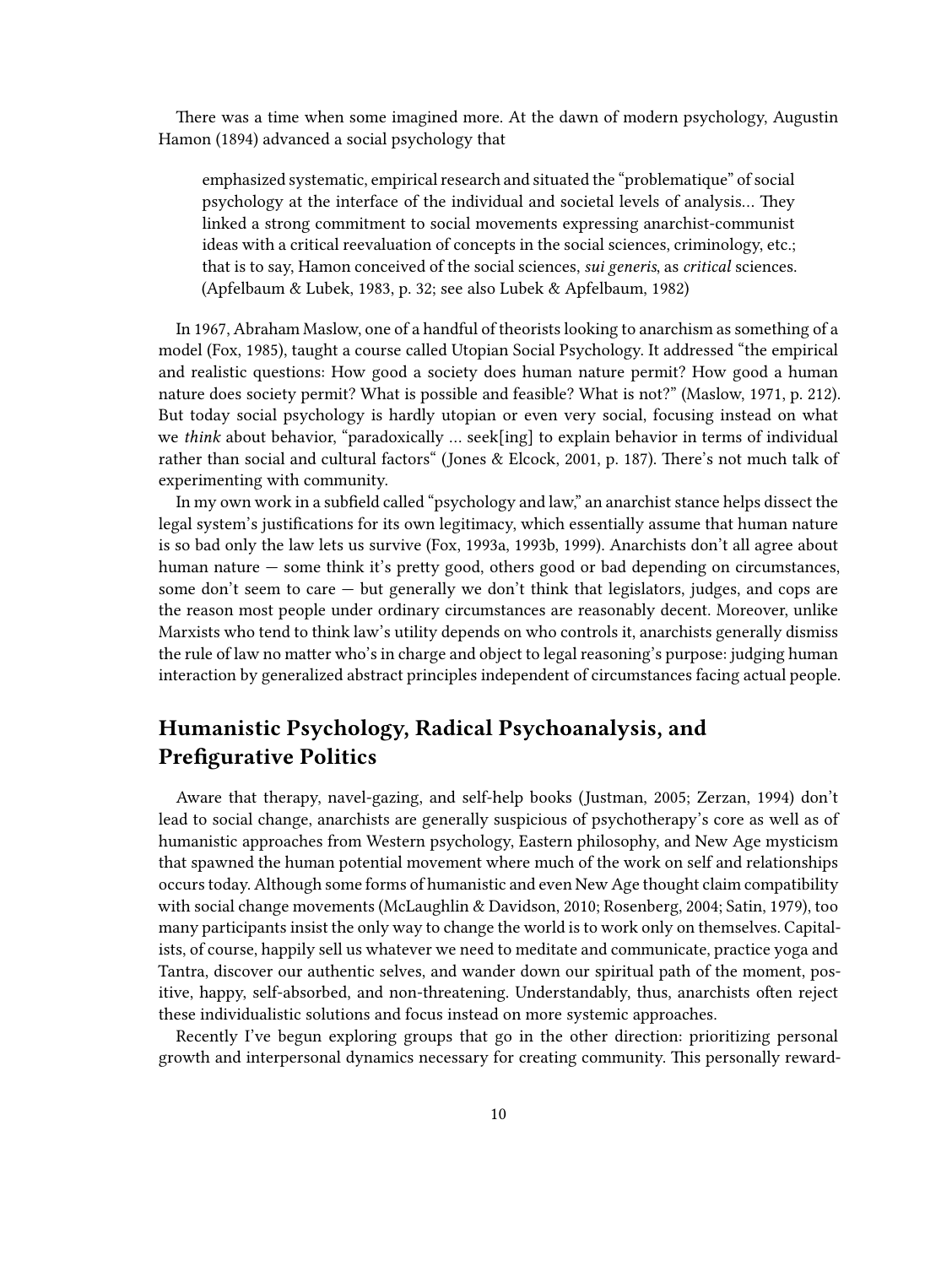There was a time when some imagined more. At the dawn of modern psychology, Augustin Hamon (1894) advanced a social psychology that

emphasized systematic, empirical research and situated the "problematique" of social psychology at the interface of the individual and societal levels of analysis… They linked a strong commitment to social movements expressing anarchist-communist ideas with a critical reevaluation of concepts in the social sciences, criminology, etc.; that is to say, Hamon conceived of the social sciences, *sui generis*, as *critical* sciences. (Apfelbaum & Lubek, 1983, p. 32; see also Lubek & Apfelbaum, 1982)

In 1967, Abraham Maslow, one of a handful of theorists looking to anarchism as something of a model (Fox, 1985), taught a course called Utopian Social Psychology. It addressed "the empirical and realistic questions: How good a society does human nature permit? How good a human nature does society permit? What is possible and feasible? What is not?" (Maslow, 1971, p. 212). But today social psychology is hardly utopian or even very social, focusing instead on what we *think* about behavior, "paradoxically … seek[ing] to explain behavior in terms of individual rather than social and cultural factors" (Jones & Elcock, 2001, p. 187). There's not much talk of experimenting with community.

In my own work in a subfield called "psychology and law," an anarchist stance helps dissect the legal system's justifications for its own legitimacy, which essentially assume that human nature is so bad only the law lets us survive (Fox, 1993a, 1993b, 1999). Anarchists don't all agree about human nature — some think it's pretty good, others good or bad depending on circumstances, some don't seem to care — but generally we don't think that legislators, judges, and cops are the reason most people under ordinary circumstances are reasonably decent. Moreover, unlike Marxists who tend to think law's utility depends on who controls it, anarchists generally dismiss the rule of law no matter who's in charge and object to legal reasoning's purpose: judging human interaction by generalized abstract principles independent of circumstances facing actual people.

#### <span id="page-9-0"></span>**Humanistic Psychology, Radical Psychoanalysis, and Prefigurative Politics**

Aware that therapy, navel-gazing, and self-help books (Justman, 2005; Zerzan, 1994) don't lead to social change, anarchists are generally suspicious of psychotherapy's core as well as of humanistic approaches from Western psychology, Eastern philosophy, and New Age mysticism that spawned the human potential movement where much of the work on self and relationships occurs today. Although some forms of humanistic and even New Age thought claim compatibility with social change movements (McLaughlin & Davidson, 2010; Rosenberg, 2004; Satin, 1979), too many participants insist the only way to change the world is to work only on themselves. Capitalists, of course, happily sell us whatever we need to meditate and communicate, practice yoga and Tantra, discover our authentic selves, and wander down our spiritual path of the moment, positive, happy, self-absorbed, and non-threatening. Understandably, thus, anarchists often reject these individualistic solutions and focus instead on more systemic approaches.

Recently I've begun exploring groups that go in the other direction: prioritizing personal growth and interpersonal dynamics necessary for creating community. This personally reward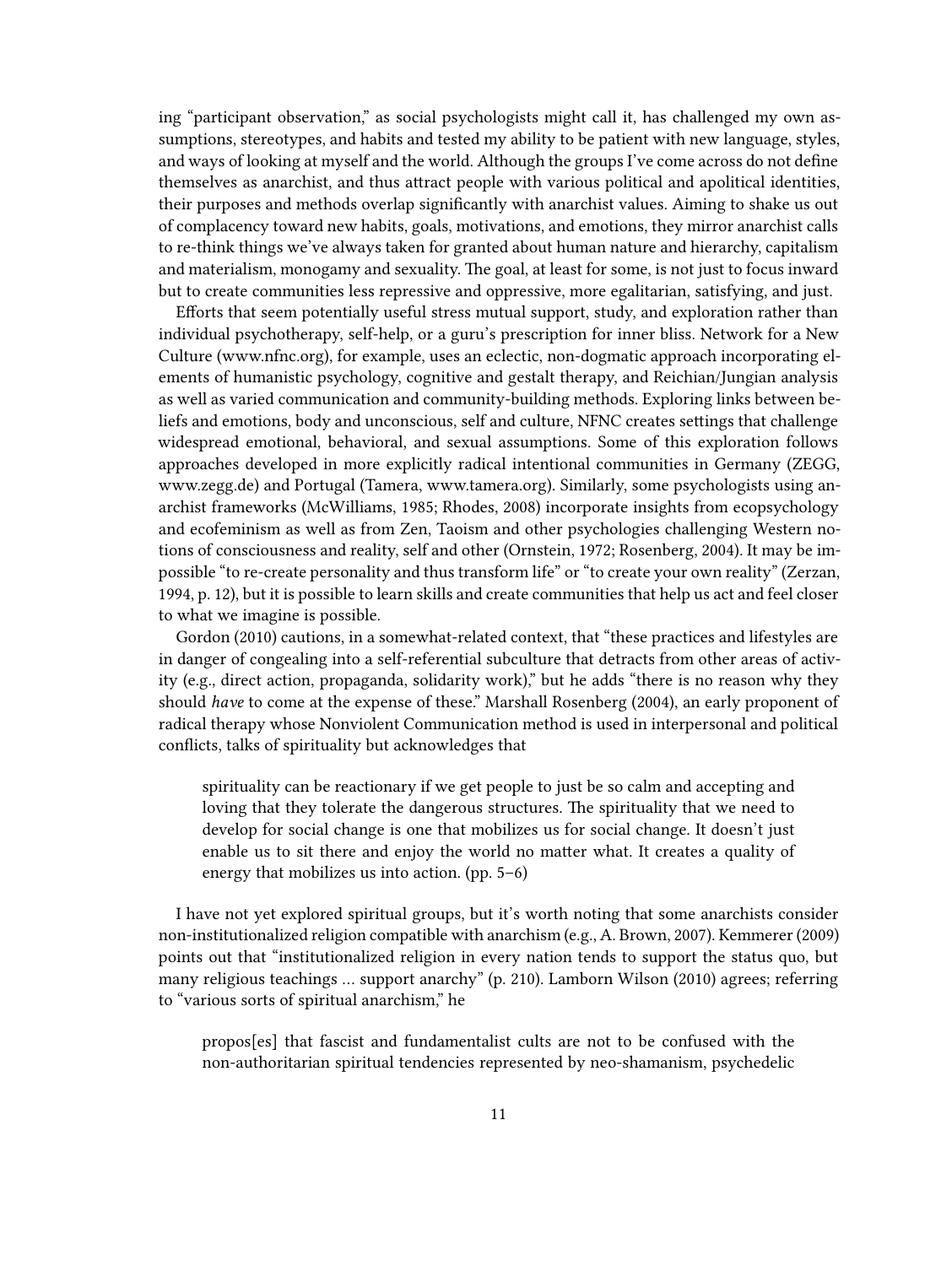ing "participant observation," as social psychologists might call it, has challenged my own assumptions, stereotypes, and habits and tested my ability to be patient with new language, styles, and ways of looking at myself and the world. Although the groups I've come across do not define themselves as anarchist, and thus attract people with various political and apolitical identities, their purposes and methods overlap significantly with anarchist values. Aiming to shake us out of complacency toward new habits, goals, motivations, and emotions, they mirror anarchist calls to re-think things we've always taken for granted about human nature and hierarchy, capitalism and materialism, monogamy and sexuality. The goal, at least for some, is not just to focus inward but to create communities less repressive and oppressive, more egalitarian, satisfying, and just.

Efforts that seem potentially useful stress mutual support, study, and exploration rather than individual psychotherapy, self-help, or a guru's prescription for inner bliss. Network for a New Culture([www.nfnc.org\)](http://www.nfnc.org), for example, uses an eclectic, non-dogmatic approach incorporating elements of humanistic psychology, cognitive and gestalt therapy, and Reichian/Jungian analysis as well as varied communication and community-building methods. Exploring links between beliefs and emotions, body and unconscious, self and culture, NFNC creates settings that challenge widespread emotional, behavioral, and sexual assumptions. Some of this exploration follows approaches developed in more explicitly radical intentional communities in Germany (ZEGG, [www.zegg.de\)](http://www.zegg.de) and Portugal (Tamera, [www.tamera.org](http://www.tamera.org)). Similarly, some psychologists using anarchist frameworks (McWilliams, 1985; Rhodes, 2008) incorporate insights from ecopsychology and ecofeminism as well as from Zen, Taoism and other psychologies challenging Western notions of consciousness and reality, self and other (Ornstein, 1972; Rosenberg, 2004). It may be impossible "to re-create personality and thus transform life" or "to create your own reality" (Zerzan, 1994, p. 12), but it is possible to learn skills and create communities that help us act and feel closer to what we imagine is possible.

Gordon (2010) cautions, in a somewhat-related context, that "these practices and lifestyles are in danger of congealing into a self-referential subculture that detracts from other areas of activity (e.g., direct action, propaganda, solidarity work)," but he adds "there is no reason why they should *have* to come at the expense of these." Marshall Rosenberg (2004), an early proponent of radical therapy whose Nonviolent Communication method is used in interpersonal and political conflicts, talks of spirituality but acknowledges that

spirituality can be reactionary if we get people to just be so calm and accepting and loving that they tolerate the dangerous structures. The spirituality that we need to develop for social change is one that mobilizes us for social change. It doesn't just enable us to sit there and enjoy the world no matter what. It creates a quality of energy that mobilizes us into action. (pp. 5–6)

I have not yet explored spiritual groups, but it's worth noting that some anarchists consider non-institutionalized religion compatible with anarchism (e.g., A. Brown, 2007). Kemmerer (2009) points out that "institutionalized religion in every nation tends to support the status quo, but many religious teachings … support anarchy" (p. 210). Lamborn Wilson (2010) agrees; referring to "various sorts of spiritual anarchism," he

propos[es] that fascist and fundamentalist cults are not to be confused with the non-authoritarian spiritual tendencies represented by neo-shamanism, psychedelic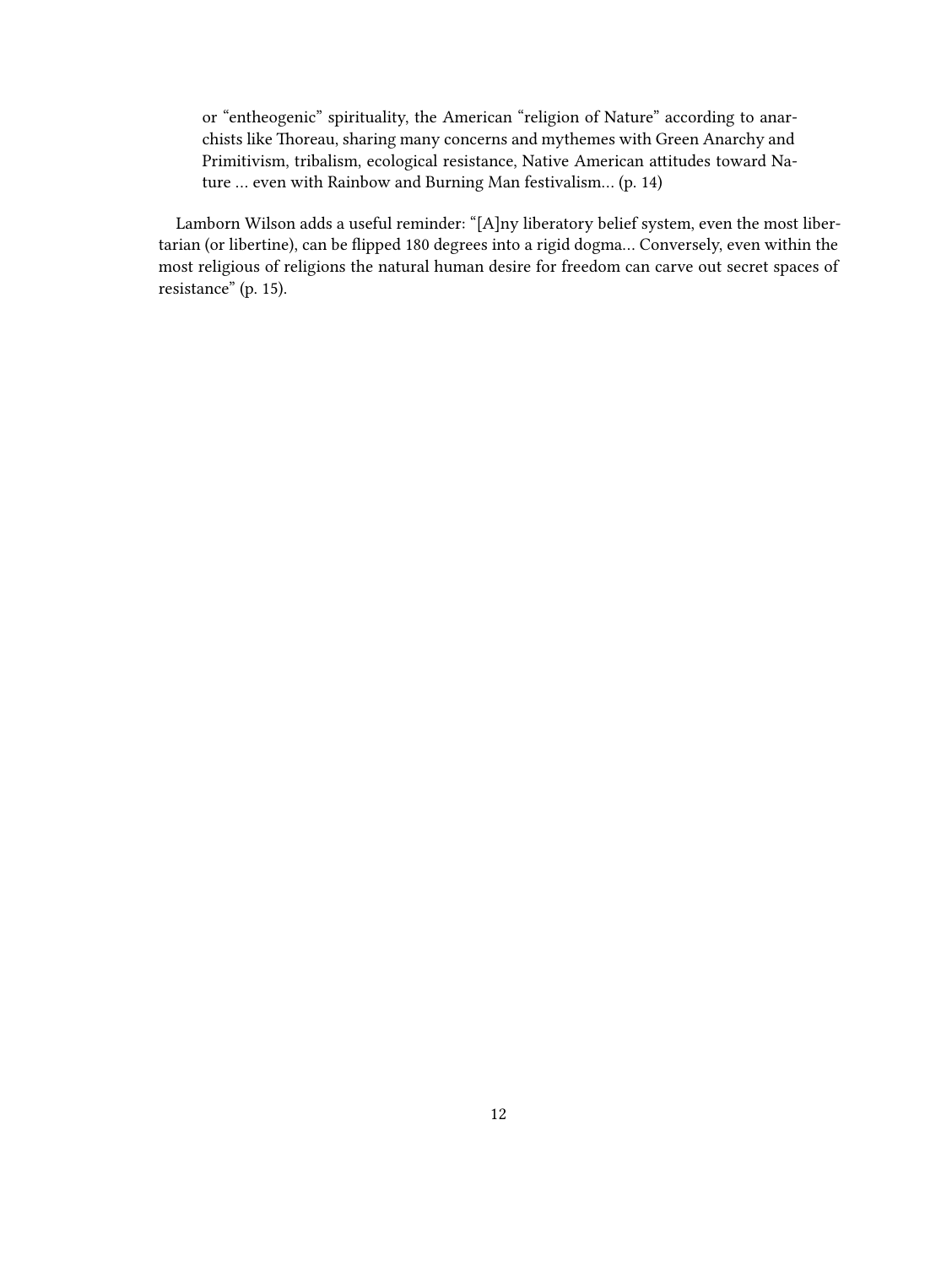or "entheogenic" spirituality, the American "religion of Nature" according to anarchists like Thoreau, sharing many concerns and mythemes with Green Anarchy and Primitivism, tribalism, ecological resistance, Native American attitudes toward Nature … even with Rainbow and Burning Man festivalism… (p. 14)

Lamborn Wilson adds a useful reminder: "[A]ny liberatory belief system, even the most libertarian (or libertine), can be flipped 180 degrees into a rigid dogma… Conversely, even within the most religious of religions the natural human desire for freedom can carve out secret spaces of resistance" (p. 15).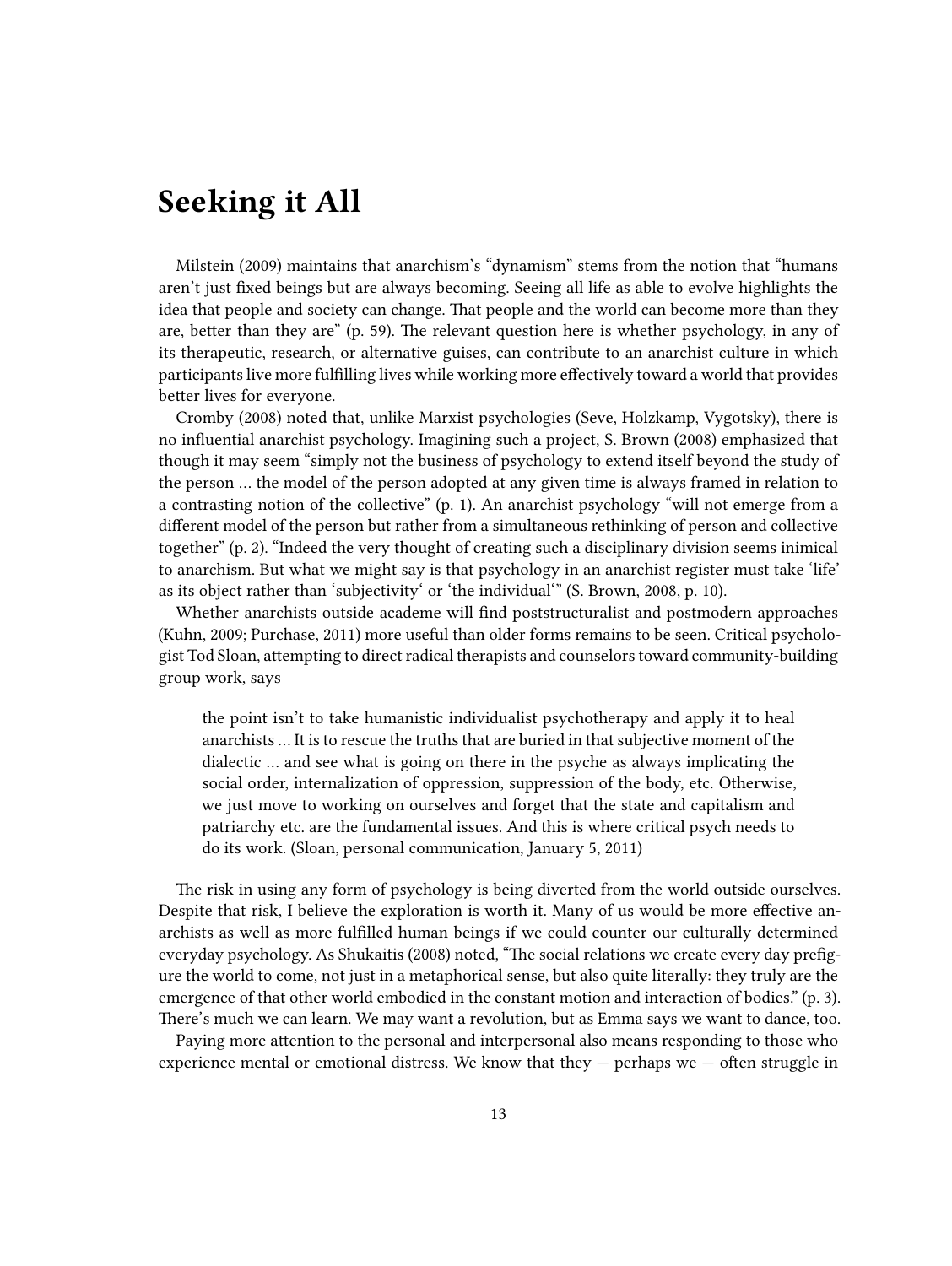## <span id="page-12-0"></span>**Seeking it All**

Milstein (2009) maintains that anarchism's "dynamism" stems from the notion that "humans aren't just fixed beings but are always becoming. Seeing all life as able to evolve highlights the idea that people and society can change. That people and the world can become more than they are, better than they are" (p. 59). The relevant question here is whether psychology, in any of its therapeutic, research, or alternative guises, can contribute to an anarchist culture in which participants live more fulfilling lives while working more effectively toward a world that provides better lives for everyone.

Cromby (2008) noted that, unlike Marxist psychologies (Seve, Holzkamp, Vygotsky), there is no influential anarchist psychology. Imagining such a project, S. Brown (2008) emphasized that though it may seem "simply not the business of psychology to extend itself beyond the study of the person … the model of the person adopted at any given time is always framed in relation to a contrasting notion of the collective" (p. 1). An anarchist psychology "will not emerge from a different model of the person but rather from a simultaneous rethinking of person and collective together" (p. 2). "Indeed the very thought of creating such a disciplinary division seems inimical to anarchism. But what we might say is that psychology in an anarchist register must take 'life' as its object rather than 'subjectivity' or 'the individual'" (S. Brown, 2008, p. 10).

Whether anarchists outside academe will find poststructuralist and postmodern approaches (Kuhn, 2009; Purchase, 2011) more useful than older forms remains to be seen. Critical psychologist Tod Sloan, attempting to direct radical therapists and counselors toward community-building group work, says

the point isn't to take humanistic individualist psychotherapy and apply it to heal anarchists … It is to rescue the truths that are buried in that subjective moment of the dialectic … and see what is going on there in the psyche as always implicating the social order, internalization of oppression, suppression of the body, etc. Otherwise, we just move to working on ourselves and forget that the state and capitalism and patriarchy etc. are the fundamental issues. And this is where critical psych needs to do its work. (Sloan, personal communication, January 5, 2011)

The risk in using any form of psychology is being diverted from the world outside ourselves. Despite that risk, I believe the exploration is worth it. Many of us would be more effective anarchists as well as more fulfilled human beings if we could counter our culturally determined everyday psychology. As Shukaitis (2008) noted, "The social relations we create every day prefigure the world to come, not just in a metaphorical sense, but also quite literally: they truly are the emergence of that other world embodied in the constant motion and interaction of bodies." (p. 3). There's much we can learn. We may want a revolution, but as Emma says we want to dance, too.

Paying more attention to the personal and interpersonal also means responding to those who experience mental or emotional distress. We know that they  $-$  perhaps we  $-$  often struggle in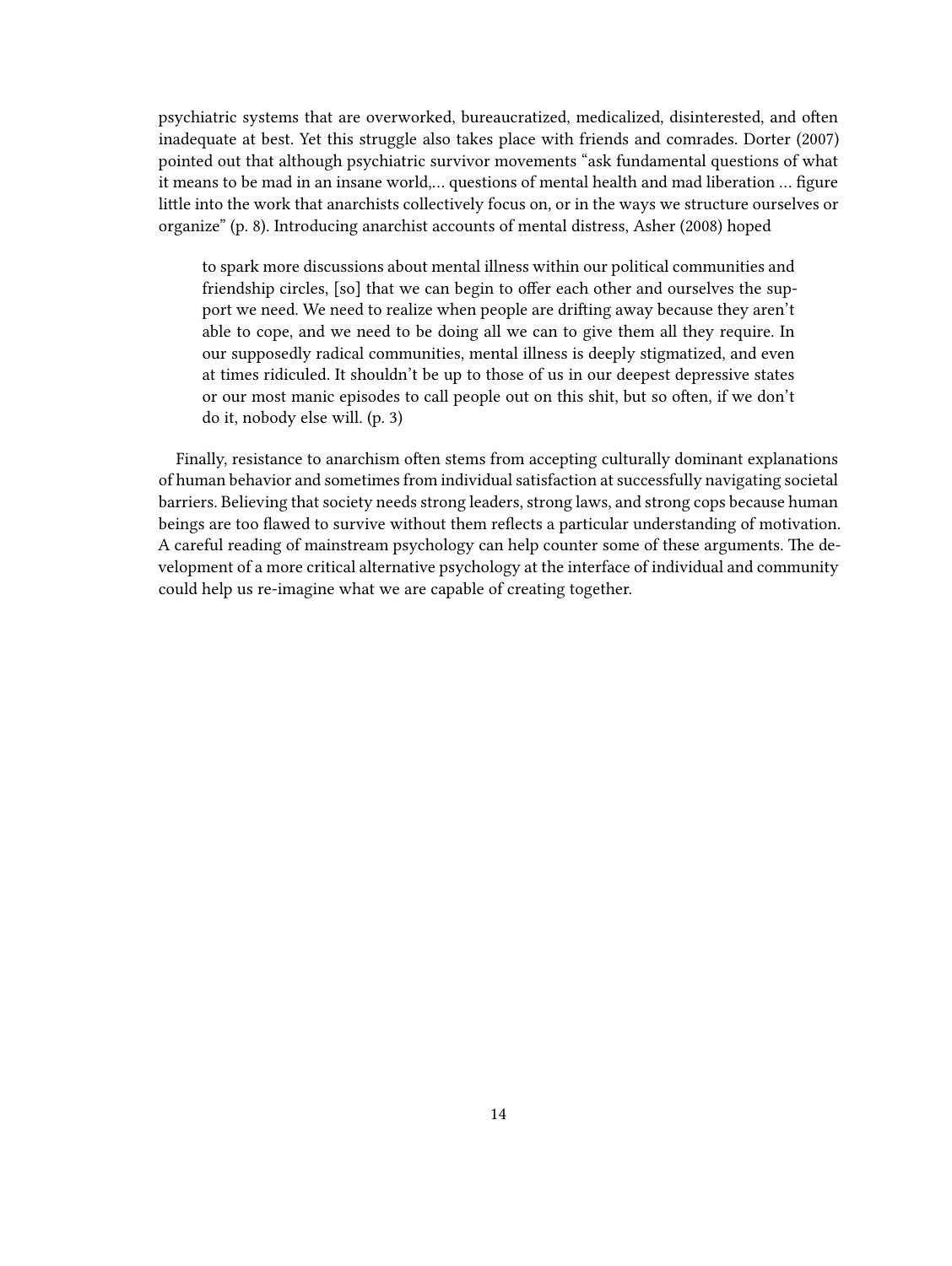psychiatric systems that are overworked, bureaucratized, medicalized, disinterested, and often inadequate at best. Yet this struggle also takes place with friends and comrades. Dorter (2007) pointed out that although psychiatric survivor movements "ask fundamental questions of what it means to be mad in an insane world,… questions of mental health and mad liberation … figure little into the work that anarchists collectively focus on, or in the ways we structure ourselves or organize" (p. 8). Introducing anarchist accounts of mental distress, Asher (2008) hoped

to spark more discussions about mental illness within our political communities and friendship circles, [so] that we can begin to offer each other and ourselves the support we need. We need to realize when people are drifting away because they aren't able to cope, and we need to be doing all we can to give them all they require. In our supposedly radical communities, mental illness is deeply stigmatized, and even at times ridiculed. It shouldn't be up to those of us in our deepest depressive states or our most manic episodes to call people out on this shit, but so often, if we don't do it, nobody else will. (p. 3)

Finally, resistance to anarchism often stems from accepting culturally dominant explanations of human behavior and sometimes from individual satisfaction at successfully navigating societal barriers. Believing that society needs strong leaders, strong laws, and strong cops because human beings are too flawed to survive without them reflects a particular understanding of motivation. A careful reading of mainstream psychology can help counter some of these arguments. The development of a more critical alternative psychology at the interface of individual and community could help us re-imagine what we are capable of creating together.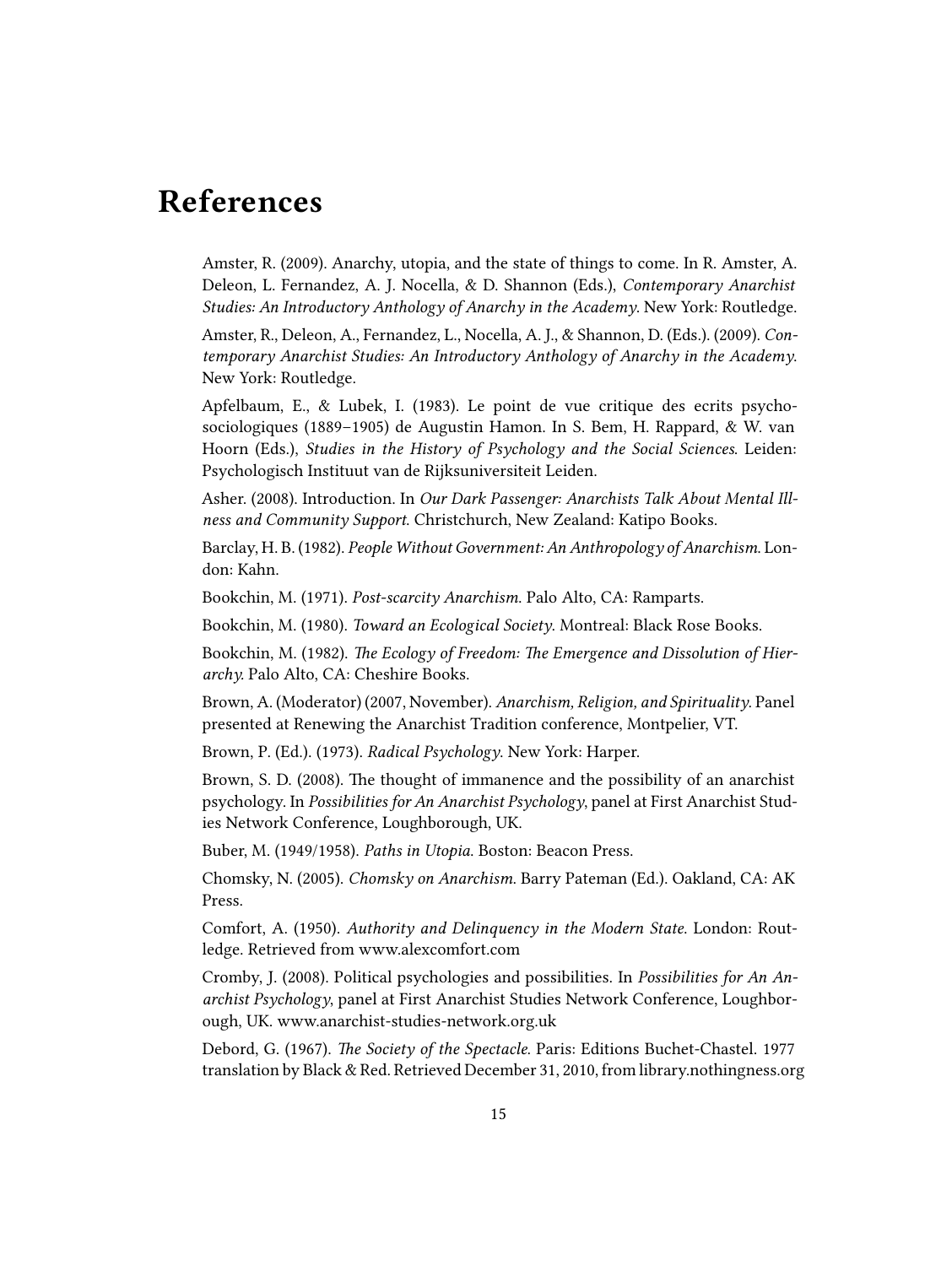### <span id="page-14-0"></span>**References**

Amster, R. (2009). Anarchy, utopia, and the state of things to come. In R. Amster, A. Deleon, L. Fernandez, A. J. Nocella, & D. Shannon (Eds.), *Contemporary Anarchist Studies: An Introductory Anthology of Anarchy in the Academy*. New York: Routledge.

Amster, R., Deleon, A., Fernandez, L., Nocella, A. J., & Shannon, D. (Eds.). (2009). *Contemporary Anarchist Studies: An Introductory Anthology of Anarchy in the Academy*. New York: Routledge.

Apfelbaum, E., & Lubek, I. (1983). Le point de vue critique des ecrits psychosociologiques (1889–1905) de Augustin Hamon. In S. Bem, H. Rappard, & W. van Hoorn (Eds.), *Studies in the History of Psychology and the Social Sciences*. Leiden: Psychologisch Instituut van de Rijksuniversiteit Leiden.

Asher. (2008). Introduction. In *Our Dark Passenger: Anarchists Talk About Mental Illness and Community Support*. Christchurch, New Zealand: Katipo Books.

Barclay, H. B. (1982). *People Without Government: An Anthropology of Anarchism*. London: Kahn.

Bookchin, M. (1971). *Post-scarcity Anarchism*. Palo Alto, CA: Ramparts.

Bookchin, M. (1980). *Toward an Ecological Society*. Montreal: Black Rose Books.

Bookchin, M. (1982). *The Ecology of Freedom: The Emergence and Dissolution of Hierarchy.* Palo Alto, CA: Cheshire Books.

Brown, A. (Moderator) (2007, November). *Anarchism, Religion, and Spirituality*. Panel presented at Renewing the Anarchist Tradition conference, Montpelier, VT.

Brown, P. (Ed.). (1973). *Radical Psychology*. New York: Harper.

Brown, S. D. (2008). The thought of immanence and the possibility of an anarchist psychology. In *Possibilities for An Anarchist Psychology*, panel at First Anarchist Studies Network Conference, Loughborough, UK.

Buber, M. (1949/1958). *Paths in Utopia*. Boston: Beacon Press.

Chomsky, N. (2005). *Chomsky on Anarchism*. Barry Pateman (Ed.). Oakland, CA: AK Press.

Comfort, A. (1950). *Authority and Delinquency in the Modern State*. London: Routledge. Retrieved from [www.alexcomfort.com](http://www.alexcomfort.com/TheStateAndHumanBehavior.xhtml)

Cromby, J. (2008). Political psychologies and possibilities. In *Possibilities for An Anarchist Psychology*, panel at First Anarchist Studies Network Conference, Loughborough, UK. [www.anarchist-studies-network.org.uk](http://www.anarchist-studies-network.org.uk/documents/ASN_psychology_panel_abstracts.vASN.pdf)

Debord, G. (1967). *The Society of the Spectacle*. Paris: Editions Buchet-Chastel. 1977 translation by Black & Red. Retrieved December 31, 2010, from [library.nothingness.org](http://library.nothingness.org/articles/SI/all/pub_contents/4)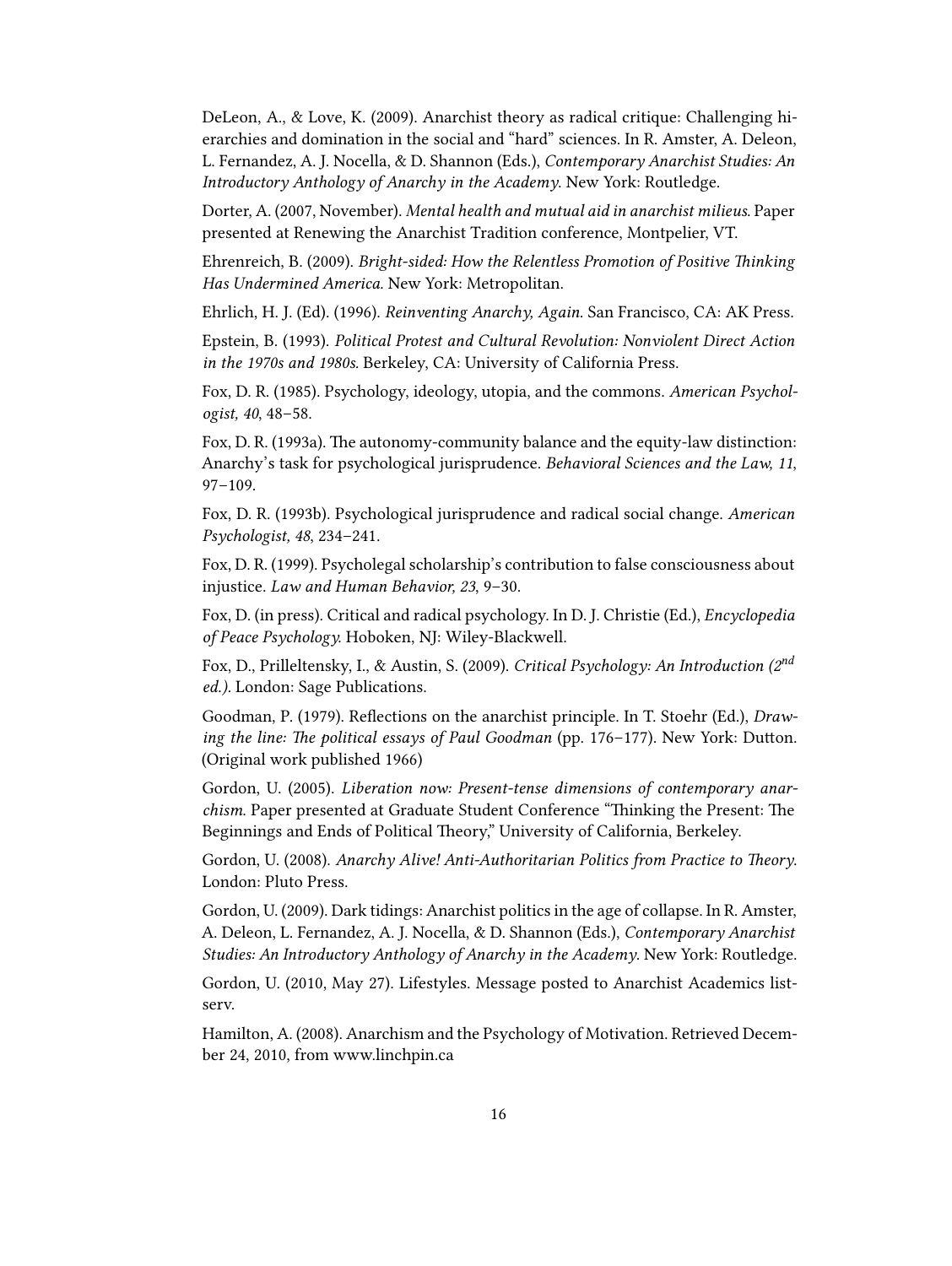DeLeon, A., & Love, K. (2009). Anarchist theory as radical critique: Challenging hierarchies and domination in the social and "hard" sciences. In R. Amster, A. Deleon, L. Fernandez, A. J. Nocella, & D. Shannon (Eds.), *Contemporary Anarchist Studies: An Introductory Anthology of Anarchy in the Academy*. New York: Routledge.

Dorter, A. (2007, November). *Mental health and mutual aid in anarchist milieus*. Paper presented at Renewing the Anarchist Tradition conference, Montpelier, VT.

Ehrenreich, B. (2009). *Bright-sided: How the Relentless Promotion of Positive Thinking Has Undermined America.* New York: Metropolitan.

Ehrlich, H. J. (Ed). (1996). *Reinventing Anarchy, Again*. San Francisco, CA: AK Press.

Epstein, B. (1993). *Political Protest and Cultural Revolution: Nonviolent Direct Action in the 1970s and 1980s.* Berkeley, CA: University of California Press.

Fox, D. R. (1985). Psychology, ideology, utopia, and the commons. *American Psychologist, 40*, 48–58.

Fox, D. R. (1993a). The autonomy-community balance and the equity-law distinction: Anarchy's task for psychological jurisprudence. *Behavioral Sciences and the Law, 11*, 97–109.

Fox, D. R. (1993b). Psychological jurisprudence and radical social change. *American Psychologist, 48*, 234–241.

Fox, D. R. (1999). Psycholegal scholarship's contribution to false consciousness about injustice. *Law and Human Behavior, 23*, 9–30.

Fox, D. (in press). Critical and radical psychology. In D. J. Christie (Ed.), *Encyclopedia of Peace Psychology.* Hoboken, NJ: Wiley-Blackwell.

Fox, D., Prilleltensky, I., & Austin, S. (2009). *Critical Psychology: An Introduction (2nd ed.).* London: Sage Publications.

Goodman, P. (1979). Reflections on the anarchist principle. In T. Stoehr (Ed.), *Drawing the line: The political essays of Paul Goodman* (pp. 176–177). New York: Dutton. (Original work published 1966)

Gordon, U. (2005). *Liberation now: Present-tense dimensions of contemporary anarchism*. Paper presented at Graduate Student Conference "Thinking the Present: The Beginnings and Ends of Political Theory," University of California, Berkeley.

Gordon, U. (2008). *Anarchy Alive! Anti-Authoritarian Politics from Practice to Theory*. London: Pluto Press.

Gordon, U. (2009). Dark tidings: Anarchist politics in the age of collapse. In R. Amster, A. Deleon, L. Fernandez, A. J. Nocella, & D. Shannon (Eds.), *Contemporary Anarchist Studies: An Introductory Anthology of Anarchy in the Academy*. New York: Routledge.

Gordon, U. (2010, May 27). Lifestyles. Message posted to Anarchist Academics listserv.

Hamilton, A. (2008). Anarchism and the Psychology of Motivation. Retrieved December 24, 2010, from [www.linchpin.ca](http://www.linchpin.ca/content/Miscellanous/Anarchism-Psychology-Motivation)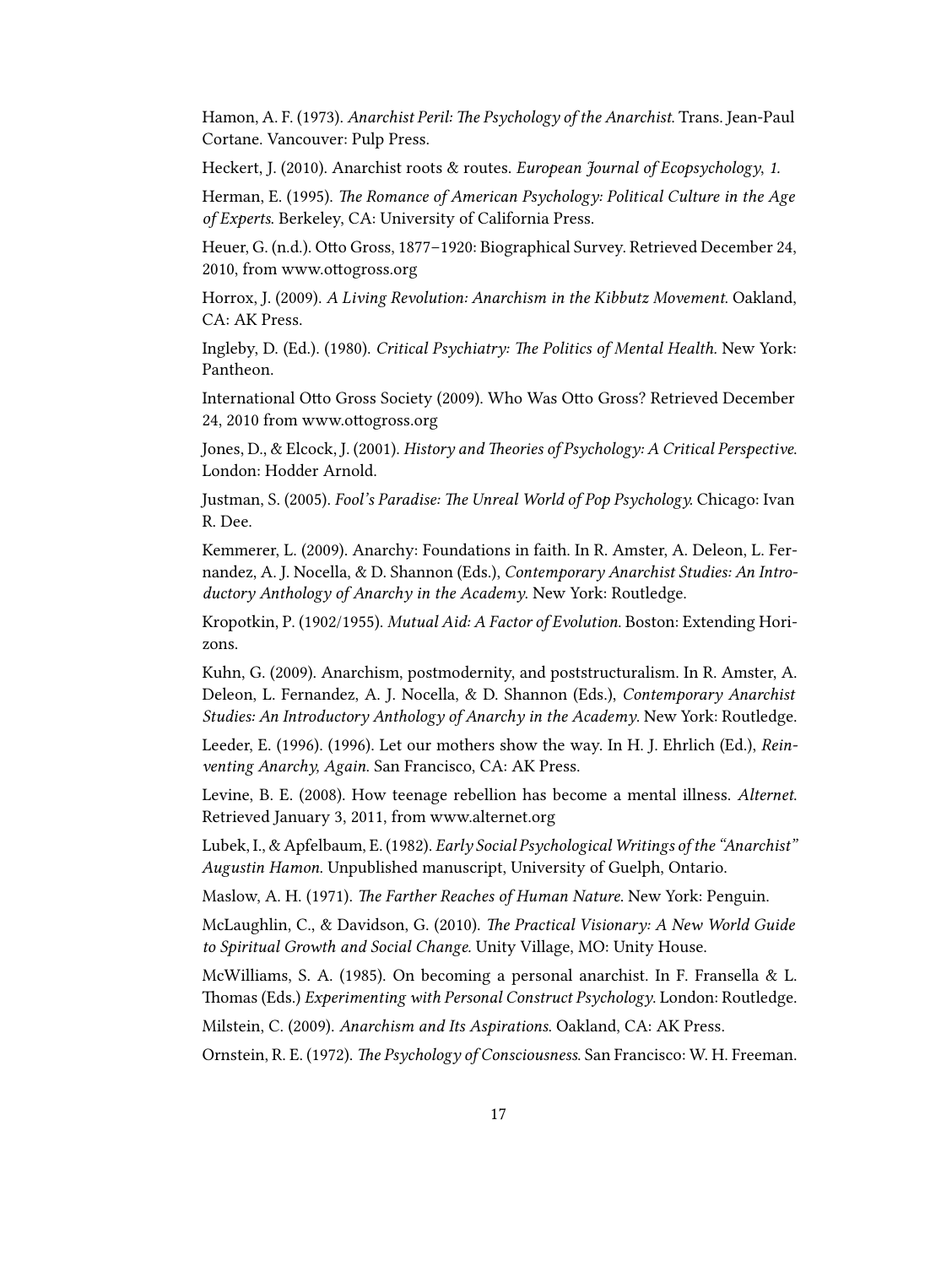Hamon, A. F. (1973). *Anarchist Peril: The Psychology of the Anarchist*. Trans. Jean-Paul Cortane. Vancouver: Pulp Press.

Heckert, J. (2010). Anarchist roots & routes. *European Journal of Ecopsychology*, *1.*

Herman, E. (1995). *The Romance of American Psychology: Political Culture in the Age of Experts*. Berkeley, CA: University of California Press.

Heuer, G. (n.d.). Otto Gross, 1877–1920: Biographical Survey. Retrieved December 24, 2010, from [www.ottogross.org](http://www.ottogross.org/english/documents/BiographicalSurvey.html)

Horrox, J. (2009). *A Living Revolution: Anarchism in the Kibbutz Movement*. Oakland, CA: AK Press.

Ingleby, D. (Ed.). (1980). *Critical Psychiatry: The Politics of Mental Health.* New York: Pantheon.

International Otto Gross Society (2009). Who Was Otto Gross? Retrieved December 24, 2010 from [www.ottogross.org](http://www.ottogross.org)

Jones, D., & Elcock, J. (2001). *History and Theories of Psychology: A Critical Perspective*. London: Hodder Arnold.

Justman, S. (2005). *Fool's Paradise: The Unreal World of Pop Psychology.* Chicago: Ivan R. Dee.

Kemmerer, L. (2009). Anarchy: Foundations in faith. In R. Amster, A. Deleon, L. Fernandez, A. J. Nocella, & D. Shannon (Eds.), *Contemporary Anarchist Studies: An Introductory Anthology of Anarchy in the Academy*. New York: Routledge.

Kropotkin, P. (1902/1955). *Mutual Aid: A Factor of Evolution*. Boston: Extending Horizons.

Kuhn, G. (2009). Anarchism, postmodernity, and poststructuralism. In R. Amster, A. Deleon, L. Fernandez, A. J. Nocella, & D. Shannon (Eds.), *Contemporary Anarchist Studies: An Introductory Anthology of Anarchy in the Academy*. New York: Routledge.

Leeder, E. (1996). (1996). Let our mothers show the way. In H. J. Ehrlich (Ed.), *Reinventing Anarchy, Again*. San Francisco, CA: AK Press.

Levine, B. E. (2008). How teenage rebellion has become a mental illness. *Alternet*. Retrieved January 3, 2011, from [www.alternet.org](http://www.alternet.org/story/75081/how_teenage_rebellion_has_become_a_mental_illness/)

Lubek, I., & Apfelbaum, E. (1982). *Early Social Psychological Writings of the "Anarchist" Augustin Hamon*. Unpublished manuscript, University of Guelph, Ontario.

Maslow, A. H. (1971). *The Farther Reaches of Human Nature*. New York: Penguin.

McLaughlin, C., & Davidson, G. (2010). *The Practical Visionary: A New World Guide to Spiritual Growth and Social Change.* Unity Village, MO: Unity House.

McWilliams, S. A. (1985). On becoming a personal anarchist. In F. Fransella & L. Thomas (Eds.) *Experimenting with Personal Construct Psychology*. London: Routledge.

Milstein, C. (2009). *Anarchism and Its Aspirations*. Oakland, CA: AK Press.

Ornstein, R. E. (1972). *The Psychology of Consciousness*. San Francisco: W. H. Freeman.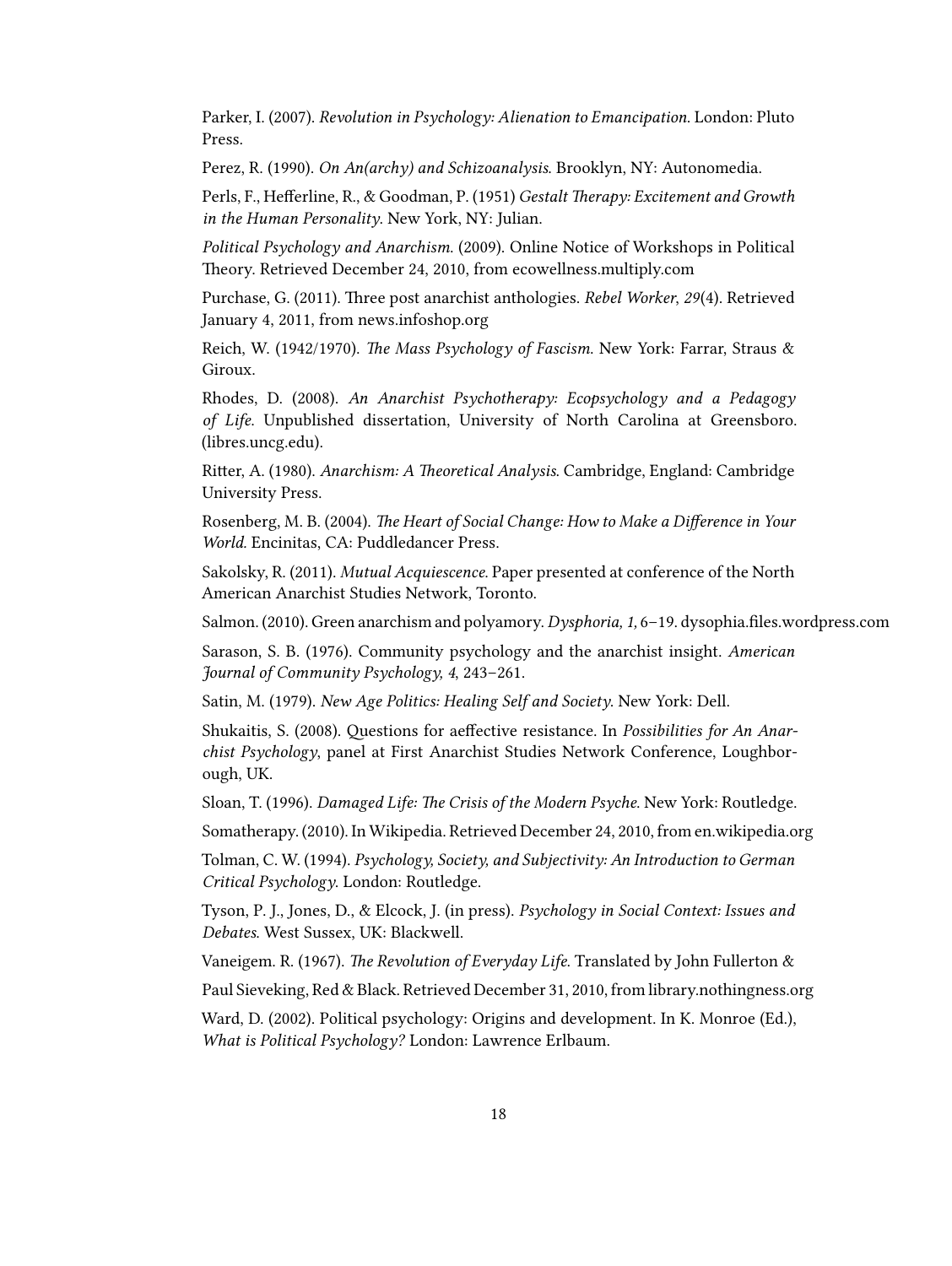Parker, I. (2007). *Revolution in Psychology: Alienation to Emancipation*. London: Pluto Press.

Perez, R. (1990). *On An(archy) and Schizoanalysis*. Brooklyn, NY: Autonomedia.

Perls, F., Hefferline, R., & Goodman, P. (1951) *Gestalt Therapy: Excitement and Growth in the Human Personality*. New York, NY: Julian.

*Political Psychology and Anarchism*. (2009). Online Notice of Workshops in Political Theory. Retrieved December 24, 2010, from [ecowellness.multiply.com](http://ecowellness.multiply.com/journal/item/1031/Anarchism)

Purchase, G. (2011). Three post anarchist anthologies. *Rebel Worker*, *29*(4). Retrieved January 4, 2011, from [news.infoshop.org](http://news.infoshop.org/article.php?story=20110104052254698)

Reich, W. (1942/1970). *The Mass Psychology of Fascism*. New York: Farrar, Straus & Giroux.

Rhodes, D. (2008). *An Anarchist Psychotherapy: Ecopsychology and a Pedagogy of Life*. Unpublished dissertation, University of North Carolina at Greensboro. [\(libres.uncg.edu\)](http://libres.uncg.edu/ir/listing.aspx?id=348).

Ritter, A. (1980). *Anarchism: A Theoretical Analysis*. Cambridge, England: Cambridge University Press.

Rosenberg, M. B. (2004). *The Heart of Social Change: How to Make a Difference in Your World.* Encinitas, CA: Puddledancer Press.

Sakolsky, R. (2011). *Mutual Acquiescence*. Paper presented at conference of the North American Anarchist Studies Network, Toronto.

Salmon. (2010). Green anarchism and polyamory.*Dysphoria, 1,* 6–19. [dysophia.files.wordpress.com](http://dysophia.files.wordpress.com/2010/05/polyamory1-6_web.pdf)

Sarason, S. B. (1976). Community psychology and the anarchist insight. *American Journal of Community Psychology, 4*, 243–261.

Satin, M. (1979). *New Age Politics: Healing Self and Society*. New York: Dell.

Shukaitis, S. (2008). Questions for aeffective resistance. In *Possibilities for An Anarchist Psychology*, panel at First Anarchist Studies Network Conference, Loughborough, UK.

Sloan, T. (1996). *Damaged Life: The Crisis of the Modern Psyche*. New York: Routledge.

Somatherapy. (2010). In Wikipedia. Retrieved December 24, 2010, from [en.wikipedia.org](http://en.wikipedia.org/wiki/Somatherapy)

Tolman, C. W. (1994). *Psychology, Society, and Subjectivity: An Introduction to German Critical Psychology*. London: Routledge.

Tyson, P. J., Jones, D., & Elcock, J. (in press). *Psychology in Social Context: Issues and Debates*. West Sussex, UK: Blackwell.

Vaneigem. R. (1967). *The Revolution of Everyday Life*. Translated by John Fullerton &

Paul Sieveking, Red & Black. Retrieved December 31, 2010, from [library.nothingness.org](http://library.nothingness.org/articles/SI/en/display/35)

Ward, D. (2002). Political psychology: Origins and development. In K. Monroe (Ed.), *What is Political Psychology?* London: Lawrence Erlbaum.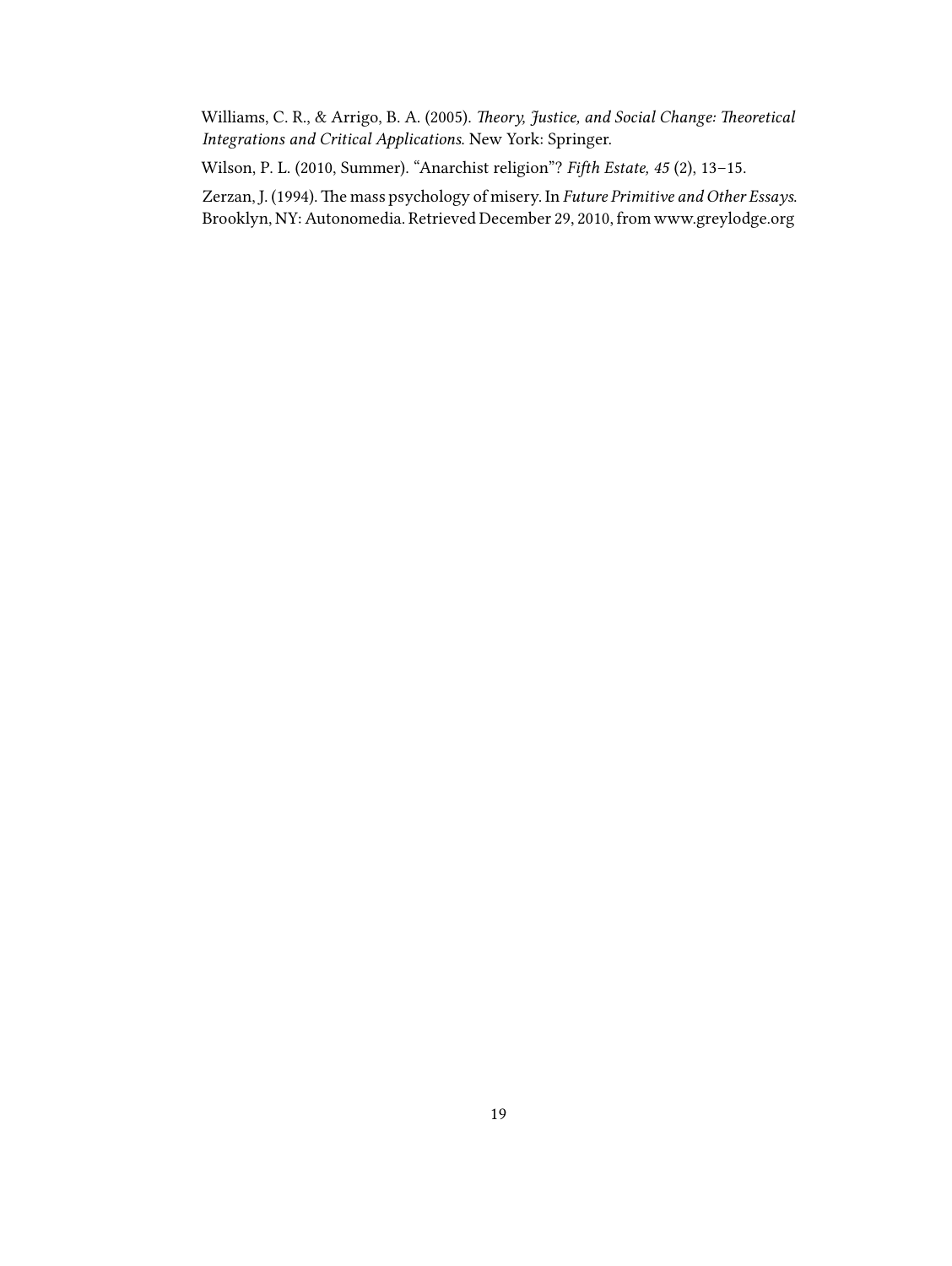Williams, C. R., & Arrigo, B. A. (2005). *Theory, Justice, and Social Change: Theoretical Integrations and Critical Applications*. New York: Springer.

Wilson, P. L. (2010, Summer). "Anarchist religion"? *Fifth Estate, 45* (2), 13–15.

Zerzan, J. (1994). The mass psychology of misery. In *Future Primitive and Other Essays*. Brooklyn, NY: Autonomedia. Retrieved December 29, 2010, from [www.greylodge.org](http://www.greylodge.org/occultreview/glor_011/Zerzan_Mass_Psychology_of_Misery.pdf)